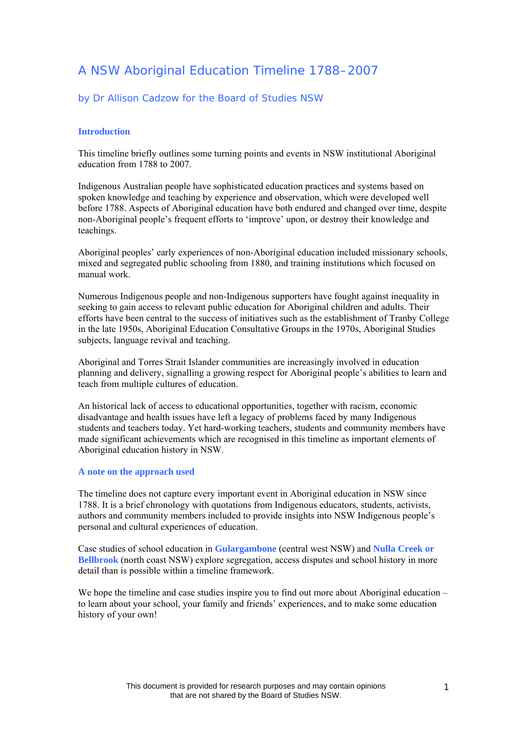# A NSW Aboriginal Education Timeline 1788–2007

# by Dr Allison Cadzow for the Board of Studies NSW

# **Introduction**

This timeline briefly outlines some turning points and events in NSW institutional Aboriginal education from 1788 to 2007.

Indigenous Australian people have sophisticated education practices and systems based on spoken knowledge and teaching by experience and observation, which were developed well before 1788. Aspects of Aboriginal education have both endured and changed over time, despite non-Aboriginal people's frequent efforts to 'improve' upon, or destroy their knowledge and teachings.

Aboriginal peoples' early experiences of non-Aboriginal education included missionary schools, mixed and segregated public schooling from 1880, and training institutions which focused on manual work.

Numerous Indigenous people and non-Indigenous supporters have fought against inequality in seeking to gain access to relevant public education for Aboriginal children and adults. Their efforts have been central to the success of initiatives such as the establishment of Tranby College in the late 1950s, Aboriginal Education Consultative Groups in the 1970s, Aboriginal Studies subjects, language revival and teaching.

Aboriginal and Torres Strait Islander communities are increasingly involved in education planning and delivery, signalling a growing respect for Aboriginal people's abilities to learn and teach from multiple cultures of education.

An historical lack of access to educational opportunities, together with racism, economic disadvantage and health issues have left a legacy of problems faced by many Indigenous students and teachers today. Yet hard-working teachers, students and community members have made significant achievements which are recognised in this timeline as important elements of Aboriginal education history in NSW.

# **A note on the approach used**

The timeline does not capture every important event in Aboriginal education in NSW since 1788. It is a brief chronology with quotations from Indigenous educators, students, activists, authors and community members included to provide insights into NSW Indigenous people's personal and cultural experiences of education.

Case studies of school education in **Gulargambone** (central west NSW) and **Nulla Creek or Bellbrook** (north coast NSW) explore segregation, access disputes and school history in more detail than is possible within a timeline framework.

We hope the timeline and case studies inspire you to find out more about Aboriginal education – to learn about your school, your family and friends' experiences, and to make some education history of your own!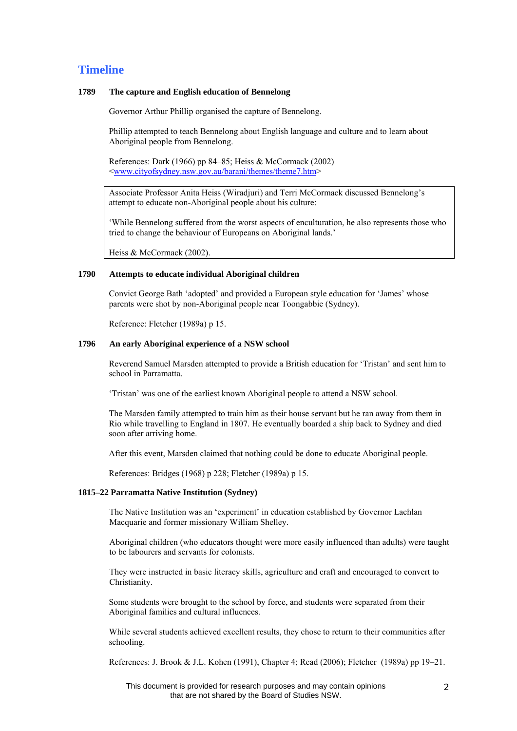# **Timeline**

# **1789 The capture and English education of Bennelong**

Governor Arthur Phillip organised the capture of Bennelong.

Phillip attempted to teach Bennelong about English language and culture and to learn about Aboriginal people from Bennelong.

References: Dark (1966) pp 84–85; Heiss & McCormack (2002) [<www.cityofsydney.nsw.gov.au/barani/themes/theme7.htm>](http://www.cityofsydney.nsw.gov.au/barani/themes/theme7.htm)

Associate Professor Anita Heiss (Wiradjuri) and Terri McCormack discussed Bennelong's attempt to educate non-Aboriginal people about his culture:

'While Bennelong suffered from the worst aspects of enculturation, he also represents those who tried to change the behaviour of Europeans on Aboriginal lands.'

Heiss & McCormack (2002).

# **1790 Attempts to educate individual Aboriginal children**

Convict George Bath 'adopted' and provided a European style education for 'James' whose parents were shot by non-Aboriginal people near Toongabbie (Sydney).

Reference: Fletcher (1989a) p 15.

# **1796 An early Aboriginal experience of a NSW school**

Reverend Samuel Marsden attempted to provide a British education for 'Tristan' and sent him to school in Parramatta.

'Tristan' was one of the earliest known Aboriginal people to attend a NSW school.

The Marsden family attempted to train him as their house servant but he ran away from them in Rio while travelling to England in 1807. He eventually boarded a ship back to Sydney and died soon after arriving home.

After this event, Marsden claimed that nothing could be done to educate Aboriginal people.

References: Bridges (1968) p 228; Fletcher (1989a) p 15.

#### **1815–22 Parramatta Native Institution (Sydney)**

The Native Institution was an 'experiment' in education established by Governor Lachlan Macquarie and former missionary William Shelley.

Aboriginal children (who educators thought were more easily influenced than adults) were taught to be labourers and servants for colonists.

They were instructed in basic literacy skills, agriculture and craft and encouraged to convert to Christianity.

Some students were brought to the school by force, and students were separated from their Aboriginal families and cultural influences.

While several students achieved excellent results, they chose to return to their communities after schooling.

References: J. Brook & J.L. Kohen (1991), Chapter 4; Read (2006); Fletcher (1989a) pp 19–21.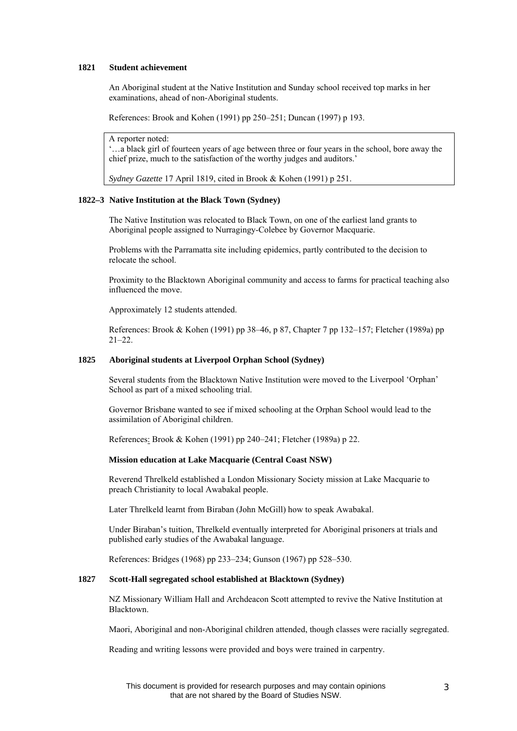# **1821 Student achievement**

An Aboriginal student at the Native Institution and Sunday school received top marks in her examinations, ahead of non-Aboriginal students.

References: Brook and Kohen (1991) pp 250–251; Duncan (1997) p 193.

#### A reporter noted:

'…a black girl of fourteen years of age between three or four years in the school, bore away the chief prize, much to the satisfaction of the worthy judges and auditors.'

*Sydney Gazette* 17 April 1819, cited in Brook & Kohen (1991) p 251.

# **1822–3 Native Institution at the Black Town (Sydney)**

The Native Institution was relocated to Black Town, on one of the earliest land grants to Aboriginal people assigned to Nurragingy-Colebee by Governor Macquarie.

Problems with the Parramatta site including epidemics, partly contributed to the decision to relocate the school.

Proximity to the Blacktown Aboriginal community and access to farms for practical teaching also influenced the move.

Approximately 12 students attended.

References: Brook & Kohen (1991) pp 38–46, p 87, Chapter 7 pp 132–157; Fletcher (1989a) pp 21–22.

# **1825 Aboriginal students at Liverpool Orphan School (Sydney)**

Several students from the Blacktown Native Institution were moved to the Liverpool 'Orphan' School as part of a mixed schooling trial.

Governor Brisbane wanted to see if mixed schooling at the Orphan School would lead to the assimilation of Aboriginal children.

References: Brook & Kohen (1991) pp 240–241; Fletcher (1989a) p 22.

# **Mission education at Lake Macquarie (Central Coast NSW)**

Reverend Threlkeld established a London Missionary Society mission at Lake Macquarie to preach Christianity to local Awabakal people.

Later Threlkeld learnt from Biraban (John McGill) how to speak Awabakal.

Under Biraban's tuition, Threlkeld eventually interpreted for Aboriginal prisoners at trials and published early studies of the Awabakal language.

References: Bridges (1968) pp 233–234; Gunson (1967) pp 528–530.

# **1827 Scott-Hall segregated school established at Blacktown (Sydney)**

NZ Missionary William Hall and Archdeacon Scott attempted to revive the Native Institution at Blacktown.

Maori, Aboriginal and non-Aboriginal children attended, though classes were racially segregated.

Reading and writing lessons were provided and boys were trained in carpentry.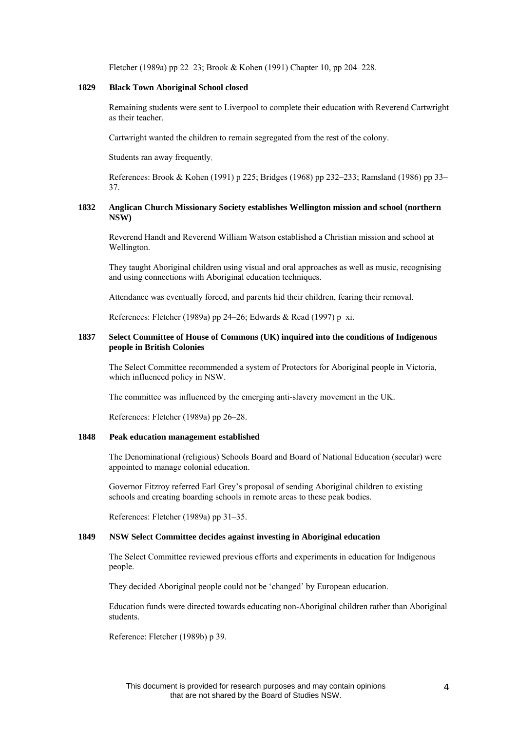Fletcher (1989a) pp 22–23; Brook & Kohen (1991) Chapter 10, pp 204–228.

#### **1829 Black Town Aboriginal School closed**

Remaining students were sent to Liverpool to complete their education with Reverend Cartwright as their teacher.

Cartwright wanted the children to remain segregated from the rest of the colony.

Students ran away frequently.

References: Brook & Kohen (1991) p 225; Bridges (1968) pp 232–233; Ramsland (1986) pp 33– 37.

# **1832 Anglican Church Missionary Society establishes Wellington mission and school (northern NSW)**

Reverend Handt and Reverend William Watson established a Christian mission and school at Wellington.

They taught Aboriginal children using visual and oral approaches as well as music, recognising and using connections with Aboriginal education techniques.

Attendance was eventually forced, and parents hid their children, fearing their removal.

References: Fletcher (1989a) pp 24–26; Edwards & Read (1997) p xi.

# **1837 Select Committee of House of Commons (UK) inquired into the conditions of Indigenous people in British Colonies**

The Select Committee recommended a system of Protectors for Aboriginal people in Victoria, which influenced policy in NSW.

The committee was influenced by the emerging anti-slavery movement in the UK.

References: Fletcher (1989a) pp 26–28.

#### **1848 Peak education management established**

The Denominational (religious) Schools Board and Board of National Education (secular) were appointed to manage colonial education.

Governor Fitzroy referred Earl Grey's proposal of sending Aboriginal children to existing schools and creating boarding schools in remote areas to these peak bodies.

References: Fletcher (1989a) pp 31–35.

#### **1849 NSW Select Committee decides against investing in Aboriginal education**

The Select Committee reviewed previous efforts and experiments in education for Indigenous people.

They decided Aboriginal people could not be 'changed' by European education.

Education funds were directed towards educating non-Aboriginal children rather than Aboriginal students.

Reference: Fletcher (1989b) p 39.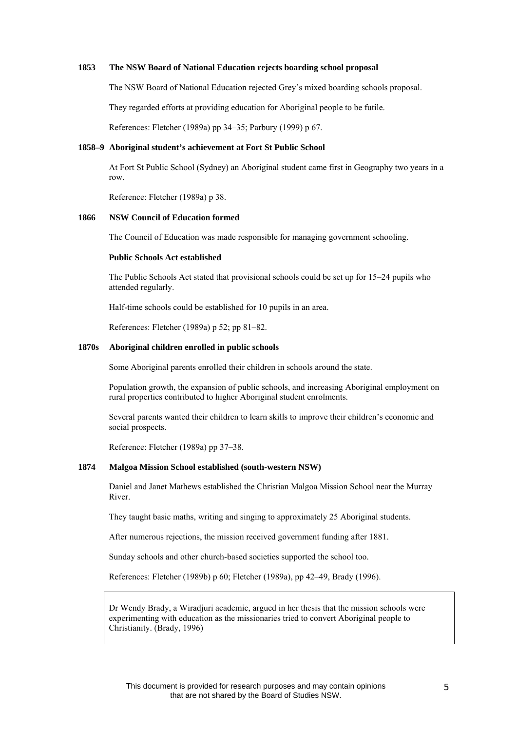#### **1853 The NSW Board of National Education rejects boarding school proposal**

The NSW Board of National Education rejected Grey's mixed boarding schools proposal.

They regarded efforts at providing education for Aboriginal people to be futile.

References: Fletcher (1989a) pp 34–35; Parbury (1999) p 67.

# **1858–9 Aboriginal student's achievement at Fort St Public School**

At Fort St Public School (Sydney) an Aboriginal student came first in Geography two years in a row.

Reference: Fletcher (1989a) p 38.

### **1866 NSW Council of Education formed**

The Council of Education was made responsible for managing government schooling.

#### **Public Schools Act established**

The Public Schools Act stated that provisional schools could be set up for 15–24 pupils who attended regularly.

Half-time schools could be established for 10 pupils in an area.

References: Fletcher (1989a) p 52; pp 81–82.

# **1870s Aboriginal children enrolled in public schools**

Some Aboriginal parents enrolled their children in schools around the state.

Population growth, the expansion of public schools, and increasing Aboriginal employment on rural properties contributed to higher Aboriginal student enrolments.

Several parents wanted their children to learn skills to improve their children's economic and social prospects.

Reference: Fletcher (1989a) pp 37–38.

### **1874 Malgoa Mission School established (south-western NSW)**

Daniel and Janet Mathews established the Christian Malgoa Mission School near the Murray River.

They taught basic maths, writing and singing to approximately 25 Aboriginal students.

After numerous rejections, the mission received government funding after 1881.

Sunday schools and other church-based societies supported the school too.

References: Fletcher (1989b) p 60; Fletcher (1989a), pp 42–49, Brady (1996).

Dr Wendy Brady, a Wiradjuri academic, argued in her thesis that the mission schools were experimenting with education as the missionaries tried to convert Aboriginal people to Christianity. (Brady, 1996)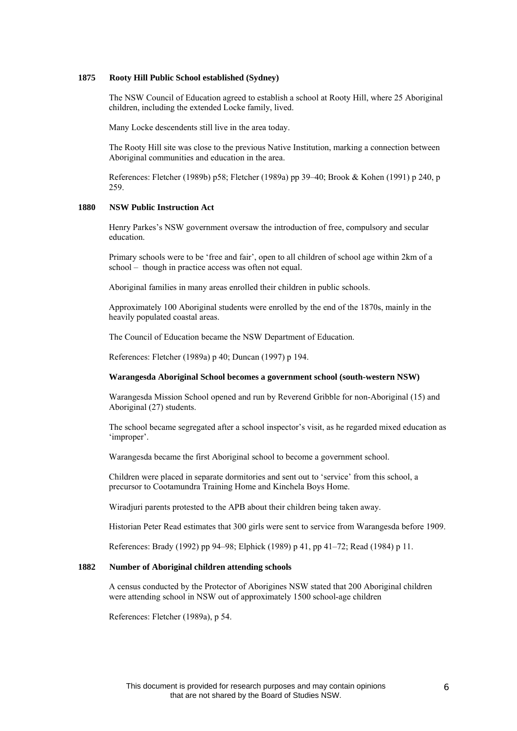#### **1875 Rooty Hill Public School established (Sydney)**

The NSW Council of Education agreed to establish a school at Rooty Hill, where 25 Aboriginal children, including the extended Locke family, lived.

Many Locke descendents still live in the area today.

The Rooty Hill site was close to the previous Native Institution, marking a connection between Aboriginal communities and education in the area.

References: Fletcher (1989b) p58; Fletcher (1989a) pp 39–40; Brook & Kohen (1991) p 240, p 259.

# **1880 NSW Public Instruction Act**

Henry Parkes's NSW government oversaw the introduction of free, compulsory and secular education.

Primary schools were to be 'free and fair', open to all children of school age within 2km of a school – though in practice access was often not equal.

Aboriginal families in many areas enrolled their children in public schools.

Approximately 100 Aboriginal students were enrolled by the end of the 1870s, mainly in the heavily populated coastal areas.

The Council of Education became the NSW Department of Education.

References: Fletcher (1989a) p 40; Duncan (1997) p 194.

#### **Warangesda Aboriginal School becomes a government school (south-western NSW)**

Warangesda Mission School opened and run by Reverend Gribble for non-Aboriginal (15) and Aboriginal (27) students.

The school became segregated after a school inspector's visit, as he regarded mixed education as 'improper'.

Warangesda became the first Aboriginal school to become a government school.

Children were placed in separate dormitories and sent out to 'service' from this school, a precursor to Cootamundra Training Home and Kinchela Boys Home.

Wiradjuri parents protested to the APB about their children being taken away.

Historian Peter Read estimates that 300 girls were sent to service from Warangesda before 1909.

References: Brady (1992) pp 94–98; Elphick (1989) p 41, pp 41–72; Read (1984) p 11.

# **1882 Number of Aboriginal children attending schools**

A census conducted by the Protector of Aborigines NSW stated that 200 Aboriginal children were attending school in NSW out of approximately 1500 school-age children

References: Fletcher (1989a), p 54.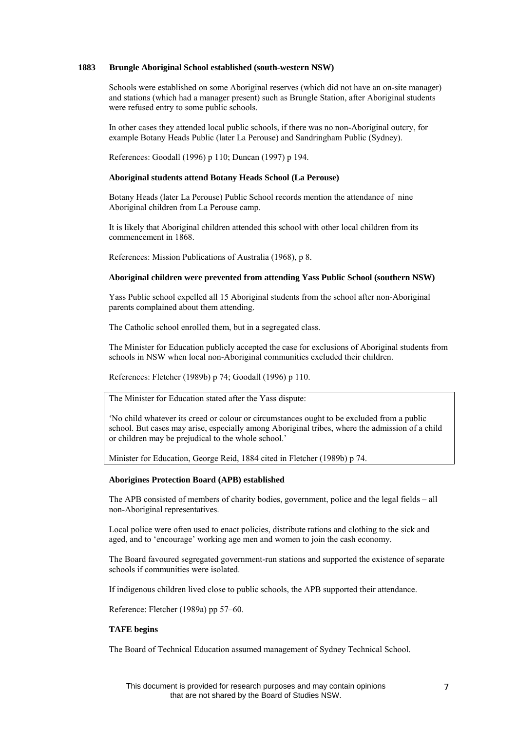# **1883 Brungle Aboriginal School established (south-western NSW)**

Schools were established on some Aboriginal reserves (which did not have an on-site manager) and stations (which had a manager present) such as Brungle Station, after Aboriginal students were refused entry to some public schools.

In other cases they attended local public schools, if there was no non-Aboriginal outcry, for example Botany Heads Public (later La Perouse) and Sandringham Public (Sydney).

References: Goodall (1996) p 110; Duncan (1997) p 194.

#### **Aboriginal students attend Botany Heads School (La Perouse)**

Botany Heads (later La Perouse) Public School records mention the attendance of nine Aboriginal children from La Perouse camp.

It is likely that Aboriginal children attended this school with other local children from its commencement in 1868.

References: Mission Publications of Australia (1968), p 8.

#### **Aboriginal children were prevented from attending Yass Public School (southern NSW)**

Yass Public school expelled all 15 Aboriginal students from the school after non-Aboriginal parents complained about them attending.

The Catholic school enrolled them, but in a segregated class.

The Minister for Education publicly accepted the case for exclusions of Aboriginal students from schools in NSW when local non-Aboriginal communities excluded their children.

References: Fletcher (1989b) p 74; Goodall (1996) p 110.

The Minister for Education stated after the Yass dispute:

'No child whatever its creed or colour or circumstances ought to be excluded from a public school. But cases may arise, especially among Aboriginal tribes, where the admission of a child or children may be prejudical to the whole school.'

Minister for Education, George Reid, 1884 cited in Fletcher (1989b) p 74.

#### **Aborigines Protection Board (APB) established**

The APB consisted of members of charity bodies, government, police and the legal fields – all non-Aboriginal representatives.

Local police were often used to enact policies, distribute rations and clothing to the sick and aged, and to 'encourage' working age men and women to join the cash economy.

The Board favoured segregated government-run stations and supported the existence of separate schools if communities were isolated.

If indigenous children lived close to public schools, the APB supported their attendance.

Reference: Fletcher (1989a) pp 57–60.

# **TAFE begins**

The Board of Technical Education assumed management of Sydney Technical School.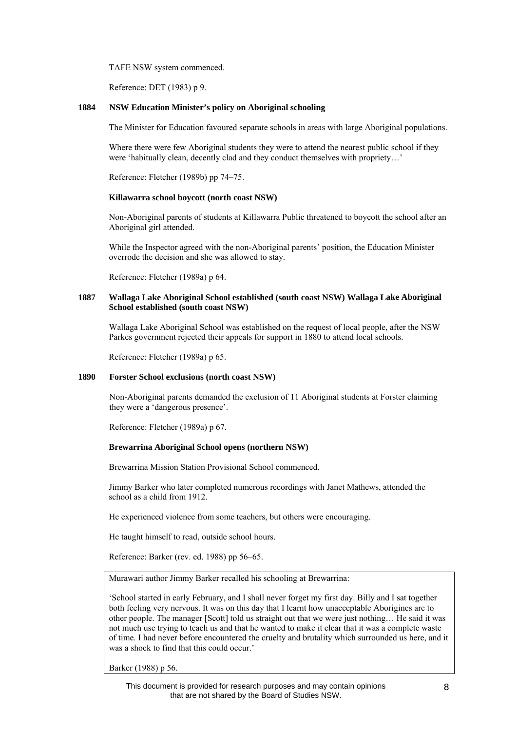TAFE NSW system commenced.

Reference: DET (1983) p 9.

#### **1884 NSW Education Minister's policy on Aboriginal schooling**

The Minister for Education favoured separate schools in areas with large Aboriginal populations.

Where there were few Aboriginal students they were to attend the nearest public school if they were 'habitually clean, decently clad and they conduct themselves with propriety...'

Reference: Fletcher (1989b) pp 74–75.

### **Killawarra school boycott (north coast NSW)**

Non-Aboriginal parents of students at Killawarra Public threatened to boycott the school after an Aboriginal girl attended.

While the Inspector agreed with the non-Aboriginal parents' position, the Education Minister overrode the decision and she was allowed to stay.

Reference: Fletcher (1989a) p 64.

# **1887 Wallaga Lake Aboriginal School established (south coast NSW) Wallaga Lake Aboriginal School established (south coast NSW)**

Wallaga Lake Aboriginal School was established on the request of local people, after the NSW Parkes government rejected their appeals for support in 1880 to attend local schools.

Reference: Fletcher (1989a) p 65.

# **1890 Forster School exclusions (north coast NSW)**

Non-Aboriginal parents demanded the exclusion of 11 Aboriginal students at Forster claiming they were a 'dangerous presence'.

Reference: Fletcher (1989a) p 67.

#### **Brewarrina Aboriginal School opens (northern NSW)**

Brewarrina Mission Station Provisional School commenced.

Jimmy Barker who later completed numerous recordings with Janet Mathews, attended the school as a child from 1912.

He experienced violence from some teachers, but others were encouraging.

He taught himself to read, outside school hours.

Reference: Barker (rev. ed. 1988) pp 56–65.

Murawari author Jimmy Barker recalled his schooling at Brewarrina:

'School started in early February, and I shall never forget my first day. Billy and I sat together both feeling very nervous. It was on this day that I learnt how unacceptable Aborigines are to other people. The manager [Scott] told us straight out that we were just nothing… He said it was not much use trying to teach us and that he wanted to make it clear that it was a complete waste of time. I had never before encountered the cruelty and brutality which surrounded us here, and it was a shock to find that this could occur.'

Barker (1988) p 56.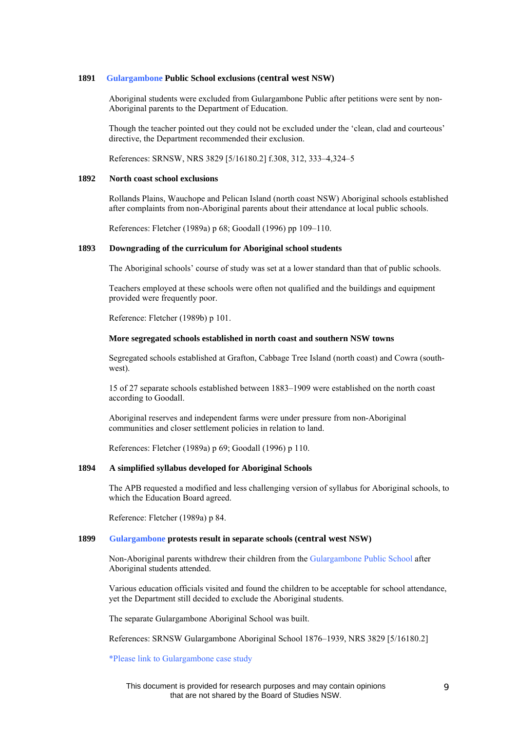#### **1891 Gulargambone Public School exclusions (central west NSW)**

Aboriginal students were excluded from Gulargambone Public after petitions were sent by non-Aboriginal parents to the Department of Education.

Though the teacher pointed out they could not be excluded under the 'clean, clad and courteous' directive, the Department recommended their exclusion.

References: SRNSW, NRS 3829 [5/16180.2] f.308, 312, 333–4,324–5

#### **1892 North coast school exclusions**

Rollands Plains, Wauchope and Pelican Island (north coast NSW) Aboriginal schools established after complaints from non-Aboriginal parents about their attendance at local public schools.

References: Fletcher (1989a) p 68; Goodall (1996) pp 109–110.

#### **1893 Downgrading of the curriculum for Aboriginal school students**

The Aboriginal schools' course of study was set at a lower standard than that of public schools.

Teachers employed at these schools were often not qualified and the buildings and equipment provided were frequently poor.

Reference: Fletcher (1989b) p 101.

#### **More segregated schools established in north coast and southern NSW towns**

Segregated schools established at Grafton, Cabbage Tree Island (north coast) and Cowra (southwest).

15 of 27 separate schools established between 1883–1909 were established on the north coast according to Goodall.

Aboriginal reserves and independent farms were under pressure from non-Aboriginal communities and closer settlement policies in relation to land.

References: Fletcher (1989a) p 69; Goodall (1996) p 110.

#### **1894 A simplified syllabus developed for Aboriginal Schools**

The APB requested a modified and less challenging version of syllabus for Aboriginal schools, to which the Education Board agreed.

Reference: Fletcher (1989a) p 84.

# **1899 Gulargambone protests result in separate schools (central west NSW)**

Non-Aboriginal parents withdrew their children from the Gulargambone Public School after Aboriginal students attended.

Various education officials visited and found the children to be acceptable for school attendance, yet the Department still decided to exclude the Aboriginal students.

The separate Gulargambone Aboriginal School was built.

References: SRNSW Gulargambone Aboriginal School 1876–1939, NRS 3829 [5/16180.2]

\*Please link to Gulargambone case study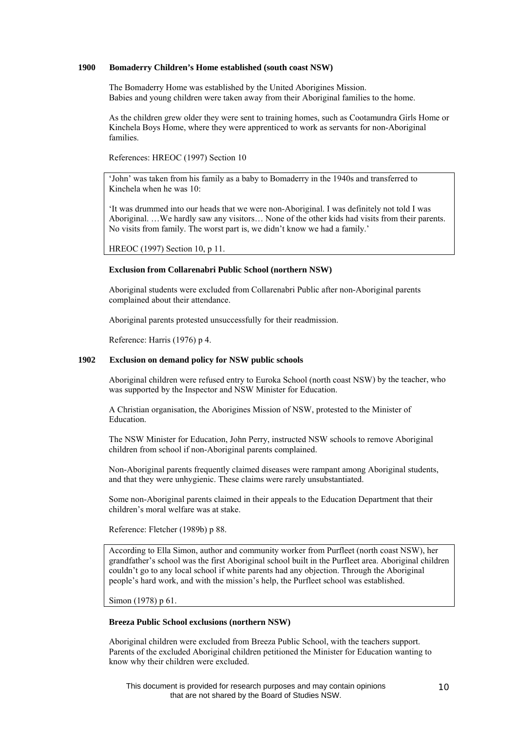# **1900 Bomaderry Children's Home established (south coast NSW)**

The Bomaderry Home was established by the United Aborigines Mission. Babies and young children were taken away from their Aboriginal families to the home.

As the children grew older they were sent to training homes, such as Cootamundra Girls Home or Kinchela Boys Home, where they were apprenticed to work as servants for non-Aboriginal families.

References: HREOC (1997) Section 10

'John' was taken from his family as a baby to Bomaderry in the 1940s and transferred to Kinchela when he was  $10<sup>°</sup>$ 

'It was drummed into our heads that we were non-Aboriginal. I was definitely not told I was Aboriginal. …We hardly saw any visitors… None of the other kids had visits from their parents. No visits from family. The worst part is, we didn't know we had a family.'

HREOC (1997) Section 10, p 11.

#### **Exclusion from Collarenabri Public School (northern NSW)**

Aboriginal students were excluded from Collarenabri Public after non-Aboriginal parents complained about their attendance.

Aboriginal parents protested unsuccessfully for their readmission.

Reference: Harris (1976) p 4.

# **1902 Exclusion on demand policy for NSW public schools**

Aboriginal children were refused entry to Euroka School (north coast NSW) by the teacher, who was supported by the Inspector and NSW Minister for Education.

A Christian organisation, the Aborigines Mission of NSW, protested to the Minister of Education.

The NSW Minister for Education, John Perry, instructed NSW schools to remove Aboriginal children from school if non-Aboriginal parents complained.

Non-Aboriginal parents frequently claimed diseases were rampant among Aboriginal students, and that they were unhygienic. These claims were rarely unsubstantiated.

Some non-Aboriginal parents claimed in their appeals to the Education Department that their children's moral welfare was at stake.

Reference: Fletcher (1989b) p 88.

According to Ella Simon, author and community worker from Purfleet (north coast NSW), her grandfather's school was the first Aboriginal school built in the Purfleet area. Aboriginal children couldn't go to any local school if white parents had any objection. Through the Aboriginal people's hard work, and with the mission's help, the Purfleet school was established.

Simon (1978) p 61.

### **Breeza Public School exclusions (northern NSW)**

Aboriginal children were excluded from Breeza Public School, with the teachers support. Parents of the excluded Aboriginal children petitioned the Minister for Education wanting to know why their children were excluded.

This document is provided for research purposes and may contain opinions that are not shared by the Board of Studies NSW.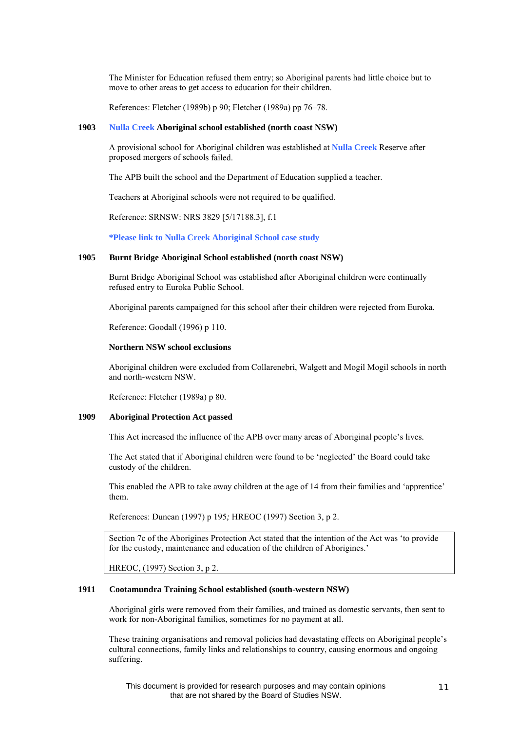The Minister for Education refused them entry; so Aboriginal parents had little choice but to move to other areas to get access to education for their children.

References: Fletcher (1989b) p 90; Fletcher (1989a) pp 76–78.

#### **1903 Nulla Creek Aboriginal school established (north coast NSW)**

A provisional school for Aboriginal children was established at **Nulla Creek** Reserve after proposed mergers of schools failed.

The APB built the school and the Department of Education supplied a teacher.

Teachers at Aboriginal schools were not required to be qualified.

Reference: SRNSW: NRS 3829 [5/17188.3], f.1

**\*Please link to Nulla Creek Aboriginal School case study**

#### **1905 Burnt Bridge Aboriginal School established (north coast NSW)**

Burnt Bridge Aboriginal School was established after Aboriginal children were continually refused entry to Euroka Public School.

Aboriginal parents campaigned for this school after their children were rejected from Euroka.

Reference: Goodall (1996) p 110.

#### **Northern NSW school exclusions**

Aboriginal children were excluded from Collarenebri, Walgett and Mogil Mogil schools in north and north-western NSW.

Reference: Fletcher (1989a) p 80.

#### **1909 Aboriginal Protection Act passed**

This Act increased the influence of the APB over many areas of Aboriginal people's lives.

The Act stated that if Aboriginal children were found to be 'neglected' the Board could take custody of the children.

This enabled the APB to take away children at the age of 14 from their families and 'apprentice' them.

References: Duncan (1997) p 195*;* HREOC (1997) Section 3, p 2.

Section 7c of the Aborigines Protection Act stated that the intention of the Act was 'to provide for the custody, maintenance and education of the children of Aborigines.'

HREOC, (1997) Section 3, p 2.

#### **1911 Cootamundra Training School established (south-western NSW)**

Aboriginal girls were removed from their families, and trained as domestic servants, then sent to work for non-Aboriginal families, sometimes for no payment at all.

These training organisations and removal policies had devastating effects on Aboriginal people's cultural connections, family links and relationships to country, causing enormous and ongoing suffering.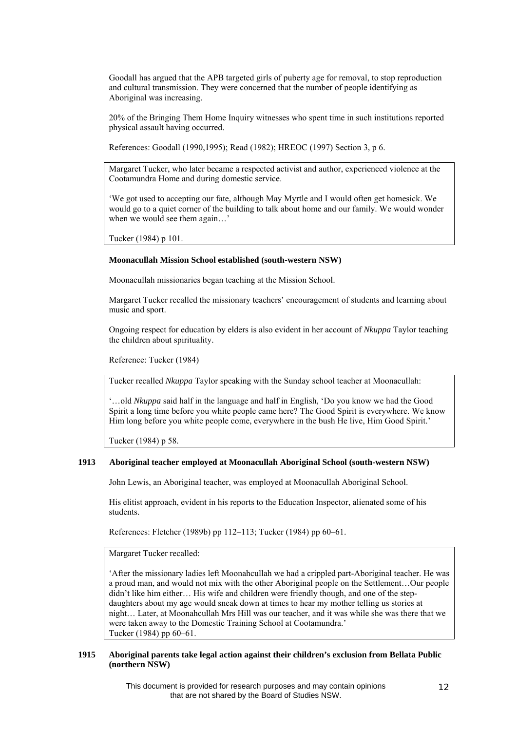Goodall has argued that the APB targeted girls of puberty age for removal, to stop reproduction and cultural transmission. They were concerned that the number of people identifying as Aboriginal was increasing.

20% of the Bringing Them Home Inquiry witnesses who spent time in such institutions reported physical assault having occurred.

References: Goodall (1990,1995); Read (1982); HREOC (1997) Section 3, p 6.

Margaret Tucker, who later became a respected activist and author, experienced violence at the Cootamundra Home and during domestic service.

'We got used to accepting our fate, although May Myrtle and I would often get homesick. We would go to a quiet corner of the building to talk about home and our family. We would wonder when we would see them again...'

Tucker (1984) p 101.

### **Moonacullah Mission School established (south-western NSW)**

Moonacullah missionaries began teaching at the Mission School.

Margaret Tucker recalled the missionary teachers' encouragement of students and learning about music and sport.

Ongoing respect for education by elders is also evident in her account of *Nkuppa* Taylor teaching the children about spirituality.

Reference: Tucker (1984)

Tucker recalled *Nkuppa* Taylor speaking with the Sunday school teacher at Moonacullah:

'…old *Nkuppa* said half in the language and half in English, 'Do you know we had the Good Spirit a long time before you white people came here? The Good Spirit is everywhere. We know Him long before you white people come, everywhere in the bush He live, Him Good Spirit.'

Tucker (1984) p 58.

#### **1913 Aboriginal teacher employed at Moonacullah Aboriginal School (south-western NSW)**

John Lewis, an Aboriginal teacher, was employed at Moonacullah Aboriginal School.

His elitist approach, evident in his reports to the Education Inspector, alienated some of his students.

References: Fletcher (1989b) pp 112–113; Tucker (1984) pp 60–61.

Margaret Tucker recalled:

'After the missionary ladies left Moonahcullah we had a crippled part-Aboriginal teacher. He was a proud man, and would not mix with the other Aboriginal people on the Settlement…Our people didn't like him either... His wife and children were friendly though, and one of the stepdaughters about my age would sneak down at times to hear my mother telling us stories at night… Later, at Moonahcullah Mrs Hill was our teacher, and it was while she was there that we were taken away to the Domestic Training School at Cootamundra.' Tucker (1984) pp 60–61.

# **1915 Aboriginal parents take legal action against their children's exclusion from Bellata Public (northern NSW)**

This document is provided for research purposes and may contain opinions that are not shared by the Board of Studies NSW.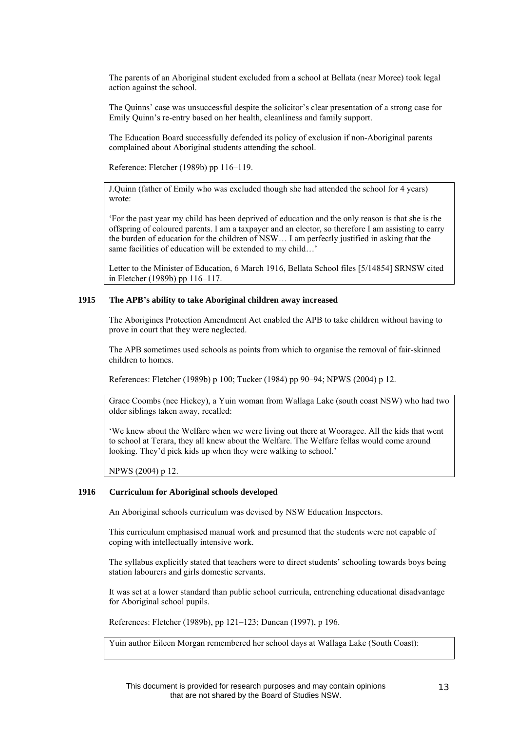The parents of an Aboriginal student excluded from a school at Bellata (near Moree) took legal action against the school.

The Quinns' case was unsuccessful despite the solicitor's clear presentation of a strong case for Emily Quinn's re-entry based on her health, cleanliness and family support.

The Education Board successfully defended its policy of exclusion if non-Aboriginal parents complained about Aboriginal students attending the school.

Reference: Fletcher (1989b) pp 116–119.

J.Quinn (father of Emily who was excluded though she had attended the school for 4 years) wrote:

'For the past year my child has been deprived of education and the only reason is that she is the offspring of coloured parents. I am a taxpayer and an elector, so therefore I am assisting to carry the burden of education for the children of NSW… I am perfectly justified in asking that the same facilities of education will be extended to my child…'

Letter to the Minister of Education, 6 March 1916, Bellata School files [5/14854] SRNSW cited in Fletcher (1989b) pp 116–117.

# **1915 The APB's ability to take Aboriginal children away increased**

The Aborigines Protection Amendment Act enabled the APB to take children without having to prove in court that they were neglected.

The APB sometimes used schools as points from which to organise the removal of fair-skinned children to homes.

References: Fletcher (1989b) p 100; Tucker (1984) pp 90–94; NPWS (2004) p 12.

Grace Coombs (nee Hickey), a Yuin woman from Wallaga Lake (south coast NSW) who had two older siblings taken away, recalled:

'We knew about the Welfare when we were living out there at Wooragee. All the kids that went to school at Terara, they all knew about the Welfare. The Welfare fellas would come around looking. They'd pick kids up when they were walking to school.'

NPWS (2004) p 12.

#### **1916 Curriculum for Aboriginal schools developed**

An Aboriginal schools curriculum was devised by NSW Education Inspectors.

This curriculum emphasised manual work and presumed that the students were not capable of coping with intellectually intensive work.

The syllabus explicitly stated that teachers were to direct students' schooling towards boys being station labourers and girls domestic servants.

It was set at a lower standard than public school curricula, entrenching educational disadvantage for Aboriginal school pupils.

References: Fletcher (1989b), pp 121–123; Duncan (1997), p 196.

Yuin author Eileen Morgan remembered her school days at Wallaga Lake (South Coast):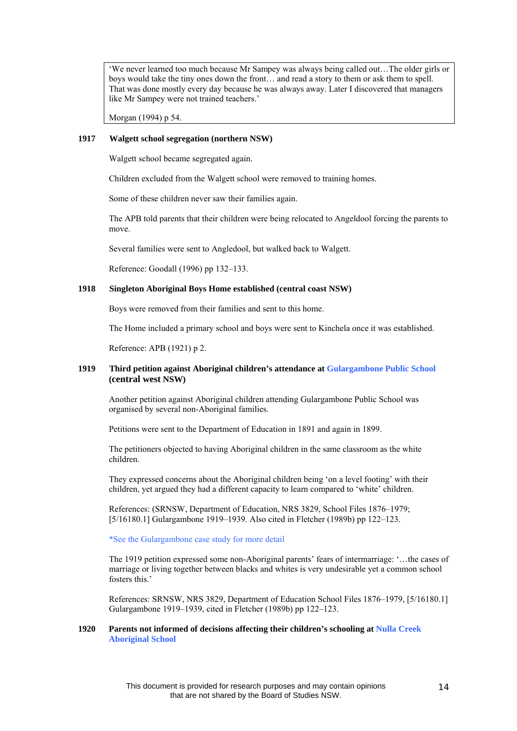'We never learned too much because Mr Sampey was always being called out…The older girls or boys would take the tiny ones down the front… and read a story to them or ask them to spell. That was done mostly every day because he was always away. Later I discovered that managers like Mr Sampey were not trained teachers.'

Morgan (1994) p 54.

# **1917 Walgett school segregation (northern NSW)**

Walgett school became segregated again.

Children excluded from the Walgett school were removed to training homes.

Some of these children never saw their families again.

The APB told parents that their children were being relocated to Angeldool forcing the parents to move.

Several families were sent to Angledool, but walked back to Walgett.

Reference: Goodall (1996) pp 132–133.

# **1918 Singleton Aboriginal Boys Home established (central coast NSW)**

Boys were removed from their families and sent to this home.

The Home included a primary school and boys were sent to Kinchela once it was established.

Reference: APB (1921) p 2.

# **1919 Third petition against Aboriginal children's attendance at Gulargambone Public School (central west NSW)**

Another petition against Aboriginal children attending Gulargambone Public School was organised by several non-Aboriginal families.

Petitions were sent to the Department of Education in 1891 and again in 1899.

The petitioners objected to having Aboriginal children in the same classroom as the white children.

They expressed concerns about the Aboriginal children being 'on a level footing' with their children, yet argued they had a different capacity to learn compared to 'white' children.

References: (SRNSW, Department of Education, NRS 3829, School Files 1876–1979; [5/16180.1] Gulargambone 1919–1939. Also cited in Fletcher (1989b) pp 122–123.

\*See the Gulargambone case study for more detail

The 1919 petition expressed some non-Aboriginal parents' fears of intermarriage: '…the cases of marriage or living together between blacks and whites is very undesirable yet a common school fosters this.'

References: SRNSW, NRS 3829, Department of Education School Files 1876–1979, [5/16180.1] Gulargambone 1919–1939, cited in Fletcher (1989b) pp 122–123.

### **1920 Parents not informed of decisions affecting their children's schooling at Nulla Creek Aboriginal School**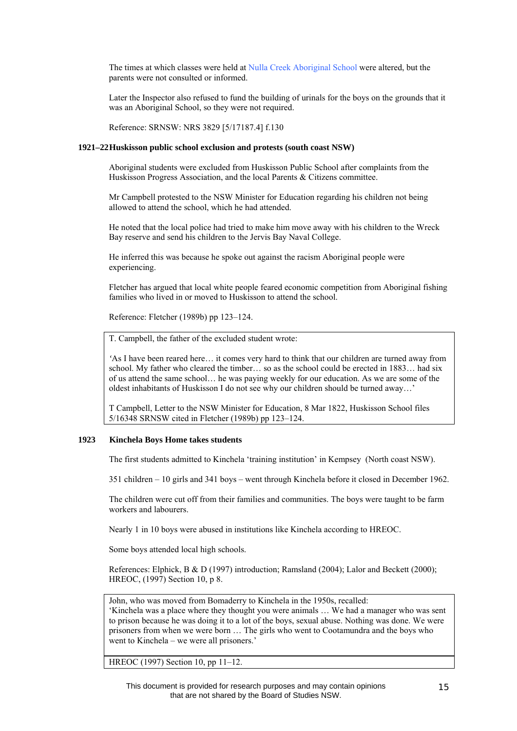The times at which classes were held at Nulla Creek Aboriginal School were altered, but the parents were not consulted or informed.

Later the Inspector also refused to fund the building of urinals for the boys on the grounds that it was an Aboriginal School, so they were not required.

Reference: SRNSW: NRS 3829 [5/17187.4] f.130

### **1921–22 Huskisson public school exclusion and protests (south coast NSW)**

Aboriginal students were excluded from Huskisson Public School after complaints from the Huskisson Progress Association, and the local Parents & Citizens committee.

Mr Campbell protested to the NSW Minister for Education regarding his children not being allowed to attend the school, which he had attended.

He noted that the local police had tried to make him move away with his children to the Wreck Bay reserve and send his children to the Jervis Bay Naval College.

He inferred this was because he spoke out against the racism Aboriginal people were experiencing.

Fletcher has argued that local white people feared economic competition from Aboriginal fishing families who lived in or moved to Huskisson to attend the school.

Reference: Fletcher (1989b) pp 123–124.

T. Campbell, the father of the excluded student wrote:

*'*As I have been reared here… it comes very hard to think that our children are turned away from school. My father who cleared the timber… so as the school could be erected in 1883… had six of us attend the same school… he was paying weekly for our education. As we are some of the oldest inhabitants of Huskisson I do not see why our children should be turned away…'

T Campbell, Letter to the NSW Minister for Education, 8 Mar 1822, Huskisson School files 5/16348 SRNSW cited in Fletcher (1989b) pp 123–124.

# **1923 Kinchela Boys Home takes students**

The first students admitted to Kinchela 'training institution' in Kempsey (North coast NSW).

351 children – 10 girls and 341 boys – went through Kinchela before it closed in December 1962.

The children were cut off from their families and communities. The boys were taught to be farm workers and labourers.

Nearly 1 in 10 boys were abused in institutions like Kinchela according to HREOC.

Some boys attended local high schools.

References: Elphick, B & D (1997) introduction; Ramsland (2004); Lalor and Beckett (2000); HREOC, (1997) Section 10, p 8.

John, who was moved from Bomaderry to Kinchela in the 1950s, recalled:

'Kinchela was a place where they thought you were animals … We had a manager who was sent to prison because he was doing it to a lot of the boys, sexual abuse. Nothing was done. We were prisoners from when we were born … The girls who went to Cootamundra and the boys who went to Kinchela – we were all prisoners.'

HREOC (1997) Section 10, pp 11–12.

This document is provided for research purposes and may contain opinions that are not shared by the Board of Studies NSW.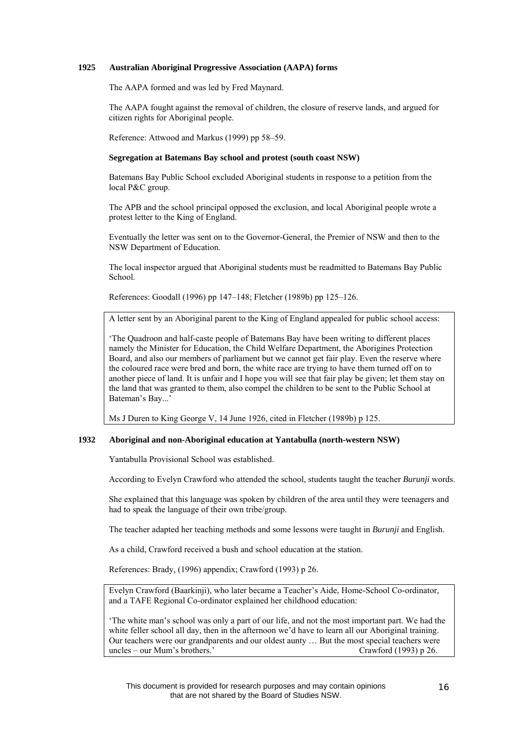# **1925 Australian Aboriginal Progressive Association (AAPA) forms**

The AAPA formed and was led by Fred Maynard.

The AAPA fought against the removal of children, the closure of reserve lands, and argued for citizen rights for Aboriginal people.

Reference: Attwood and Markus (1999) pp 58–59.

# **Segregation at Batemans Bay school and protest (south coast NSW)**

Batemans Bay Public School excluded Aboriginal students in response to a petition from the local P&C group.

The APB and the school principal opposed the exclusion, and local Aboriginal people wrote a protest letter to the King of England.

Eventually the letter was sent on to the Governor-General, the Premier of NSW and then to the NSW Department of Education.

The local inspector argued that Aboriginal students must be readmitted to Batemans Bay Public School.

References: Goodall (1996) pp 147–148; Fletcher (1989b) pp 125–126.

A letter sent by an Aboriginal parent to the King of England appealed for public school access:

'The Quadroon and half-caste people of Batemans Bay have been writing to different places namely the Minister for Education, the Child Welfare Department, the Aborigines Protection Board, and also our members of parliament but we cannot get fair play. Even the reserve where the coloured race were bred and born, the white race are trying to have them turned off on to another piece of land. It is unfair and I hope you will see that fair play be given; let them stay on the land that was granted to them, also compel the children to be sent to the Public School at Bateman's Bay...'

Ms J Duren to King George V, 14 June 1926, cited in Fletcher (1989b) p 125.

# **1932 Aboriginal and non-Aboriginal education at Yantabulla (north-western NSW)**

Yantabulla Provisional School was established.

According to Evelyn Crawford who attended the school, students taught the teacher *Burunji* words.

She explained that this language was spoken by children of the area until they were teenagers and had to speak the language of their own tribe/group.

The teacher adapted her teaching methods and some lessons were taught in *Burunji* and English.

As a child, Crawford received a bush and school education at the station.

References: Brady, (1996) appendix; Crawford (1993) p 26.

Evelyn Crawford (Baarkinji), who later became a Teacher's Aide, Home-School Co-ordinator, and a TAFE Regional Co-ordinator explained her childhood education:

'The white man's school was only a part of our life, and not the most important part. We had the white feller school all day, then in the afternoon we'd have to learn all our Aboriginal training. Our teachers were our grandparents and our oldest aunty … But the most special teachers were uncles – our Mum's brothers.' Crawford (1993) p 26.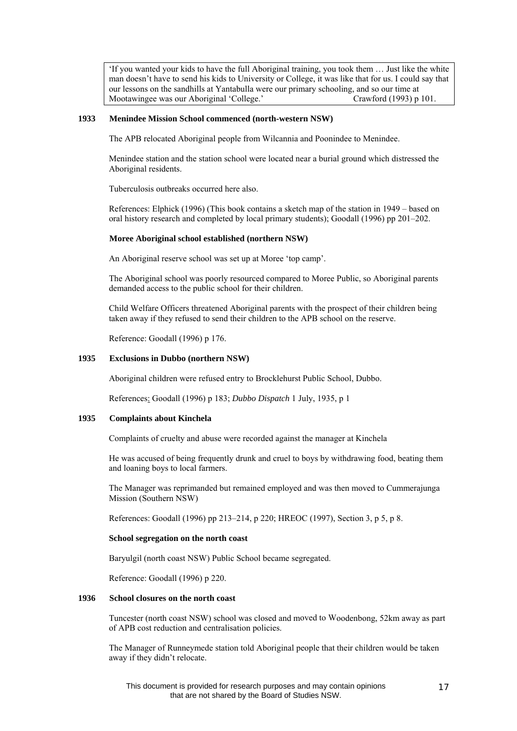'If you wanted your kids to have the full Aboriginal training, you took them … Just like the white man doesn't have to send his kids to University or College, it was like that for us. I could say that our lessons on the sandhills at Yantabulla were our primary schooling, and so our time at Mootawingee was our Aboriginal 'College.' Crawford (1993) p 101. Mootawingee was our Aboriginal 'College.'

#### **1933 Menindee Mission School commenced (north-western NSW)**

The APB relocated Aboriginal people from Wilcannia and Poonindee to Menindee.

Menindee station and the station school were located near a burial ground which distressed the Aboriginal residents.

Tuberculosis outbreaks occurred here also.

References: Elphick (1996) (This book contains a sketch map of the station in 1949 – based on oral history research and completed by local primary students); Goodall (1996) pp 201–202.

#### **Moree Aboriginal school established (northern NSW)**

An Aboriginal reserve school was set up at Moree 'top camp'.

The Aboriginal school was poorly resourced compared to Moree Public, so Aboriginal parents demanded access to the public school for their children.

Child Welfare Officers threatened Aboriginal parents with the prospect of their children being taken away if they refused to send their children to the APB school on the reserve.

Reference: Goodall (1996) p 176.

# **1935 Exclusions in Dubbo (northern NSW)**

Aboriginal children were refused entry to Brocklehurst Public School, Dubbo.

References: Goodall (1996) p 183; *Dubbo Dispatch* 1 July, 1935, p 1

#### **1935 Complaints about Kinchela**

Complaints of cruelty and abuse were recorded against the manager at Kinchela

He was accused of being frequently drunk and cruel to boys by withdrawing food, beating them and loaning boys to local farmers.

The Manager was reprimanded but remained employed and was then moved to Cummerajunga Mission (Southern NSW)

References: Goodall (1996) pp 213–214, p 220; HREOC (1997), Section 3, p 5, p 8.

#### **School segregation on the north coast**

Baryulgil (north coast NSW) Public School became segregated.

Reference: Goodall (1996) p 220.

# **1936 School closures on the north coast**

Tuncester (north coast NSW) school was closed and moved to Woodenbong, 52km away as part of APB cost reduction and centralisation policies.

The Manager of Runneymede station told Aboriginal people that their children would be taken away if they didn't relocate.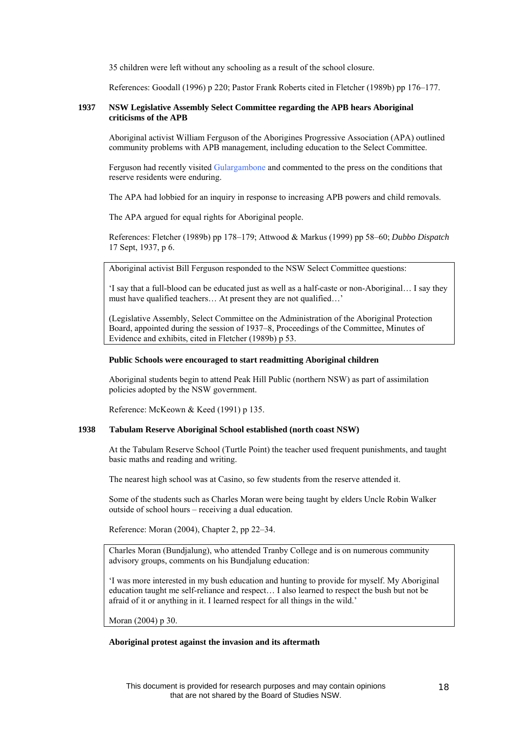35 children were left without any schooling as a result of the school closure.

References: Goodall (1996) p 220; Pastor Frank Roberts cited in Fletcher (1989b) pp 176–177.

#### **937 NSW Legislative Assembly Select Committee regarding the APB hears Aboriginal 1 criticisms of the APB**

boriginal activist William Ferguson of the Aborigines Progressive Association (APA) outlined A community problems with APB management, including education to the Select Committee.

Ferguson had recently visited Gulargambone and commented to the press on the conditions that reserve residents were enduring.

The APA had lobbied for an inquiry in response to increasing APB powers and child removals.

The APA argued for equal rights for Aboriginal people.

References: Fletcher (1989b) pp 178–179; Attwood & Markus (1999) pp 58–60; *Dubbo Dispatch* 17 Sept, 1937, p 6.

Aboriginal activist Bill Ferguson responded to the NSW Select Committee questions:

'I say that a full-blood can be educated just as well as a half-caste or non-Aboriginal… I say they must have qualified teachers… At present they are not qualified…'

(Legislative Assembly, Select Committee on the Administration of the Aboriginal Protection Board, appointed during the session of 1937–8, Proceedings of the Committee, Minutes of Evidence and exhibits, cited in Fletcher (1989b) p 53.

#### **Public Schools were encouraged to start readmitting Aboriginal children**

Aboriginal students begin to attend Peak Hill Public (northern NSW) as part of assimilation policies adopted by the NSW government.

Reference: McKeown & Keed (1991) p 135.

#### **938 Tabulam Reserve Aboriginal School established (north coast NSW) 1**

At the Tabulam Reserve School (Turtle Point) the teacher used frequent punishments, and taught basic maths and reading and writing.

The nearest high school was at Casino, so few students from the reserve attended it.

Some of the students such as Charles Moran were being taught by elders Uncle Robin Walker outside of school hours – receiving a dual education.

Reference: Moran (2004), Chapter 2, pp 22–34.

Charles Moran (Bundjalung), who attended Tranby College and is on numerous community advisory groups, comments on his Bundjalung education:

'I was more interested in my bush education and hunting to provide for myself. My Aboriginal education taught me self-reliance and respect… I also learned to respect the bush but not be afraid of it or anything in it. I learned respect for all things in the wild.'

Moran (2004) p 30.

#### **Aboriginal protest against the invasion and its aftermath**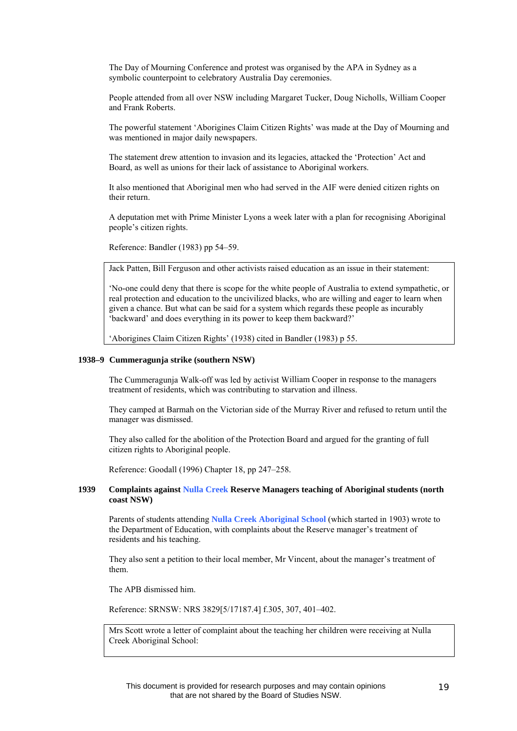The Day of Mourning Conference and protest was organised by the APA in Sydney as a symbolic counterpoint to celebratory Australia Day ceremonies.

People attended from all over NSW including Margaret Tucker, Doug Nicholls, William Cooper and Frank Roberts.

The powerful statement 'Aborigines Claim Citizen Rights' was made at the Day of Mourning and was mentioned in major daily newspapers.

The statement drew attention to invasion and its legacies, attacked the 'Protection' Act and Board, as well as unions for their lack of assistance to Aboriginal workers.

It also mentioned that Aboriginal men who had served in the AIF were denied citizen rights on their return.

A deputation met with Prime Minister Lyons a week later with a plan for recognising Aboriginal people's citizen rights.

Reference: Bandler (1983) pp 54–59.

Jack Patten, Bill Ferguson and other activists raised education as an issue in their statement:

'No-one could deny that there is scope for the white people of Australia to extend sympathetic, or real protection and education to the uncivilized blacks, who are willing and eager to learn when given a chance. But what can be said for a system which regards these people as incurably 'backward' and does everything in its power to keep them backward?'

'Aborigines Claim Citizen Rights' (1938) cited in Bandler (1983) p 55.

#### **1938–9 Cummeragunja strike (southern NSW)**

The Cummeragunja Walk-off was led by activist William Cooper in response to the managers treatment of residents, which was contributing to starvation and illness.

They camped at Barmah on the Victorian side of the Murray River and refused to return until the manager was dismissed.

They also called for the abolition of the Protection Board and argued for the granting of full citizen rights to Aboriginal people.

Reference: Goodall (1996) Chapter 18, pp 247–258.

### **1939 Complaints against Nulla Creek Reserve Managers teaching of Aboriginal students (north coast NSW)**

Parents of students attending **Nulla Creek Aboriginal School** (which started in 1903) wrote to the Department of Education, with complaints about the Reserve manager's treatment of residents and his teaching.

They also sent a petition to their local member, Mr Vincent, about the manager's treatment of them.

The APB dismissed him.

Reference: SRNSW: NRS 3829[5/17187.4] f.305, 307, 401–402.

Mrs Scott wrote a letter of complaint about the teaching her children were receiving at Nulla Creek Aboriginal School: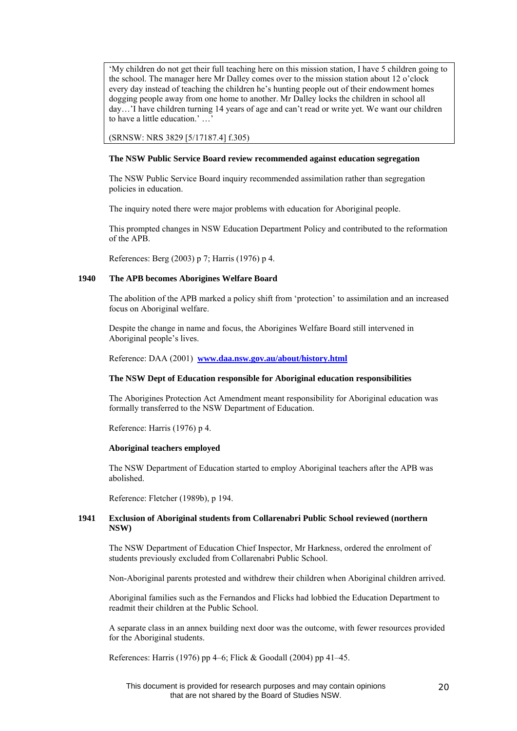'My children do not get their full teaching here on this mission station, I have 5 children going to the school. The manager here Mr Dalley comes over to the mission station about 12 o'clock every day instead of teaching the children he's hunting people out of their endowment homes dogging people away from one home to another. Mr Dalley locks the children in school all day…'I have children turning 14 years of age and can't read or write yet. We want our children to have a little education.' …'

(SRNSW: NRS 3829 [5/17187.4] f.305)

### **The NSW Public Service Board review recommended against education segregation**

The NSW Public Service Board inquiry recommended assimilation rather than segregation policies in education.

The inquiry noted there were major problems with education for Aboriginal people.

This prompted changes in NSW Education Department Policy and contributed to the reformation of the APB.

References: Berg (2003) p 7; Harris (1976) p 4.

# **1940 The APB becomes Aborigines Welfare Board**

The abolition of the APB marked a policy shift from 'protection' to assimilation and an increased focus on Aboriginal welfare.

Despite the change in name and focus, the Aborigines Welfare Board still intervened in Aboriginal people's lives.

Reference: DAA (2001) **[www.daa.nsw.gov.au/about/history.html](http://www.daa.nsw.gov.au/about/history.html)**

# **The NSW Dept of Education responsible for Aboriginal education responsibilities**

The Aborigines Protection Act Amendment meant responsibility for Aboriginal education was formally transferred to the NSW Department of Education.

Reference: Harris (1976) p 4.

#### **Aboriginal teachers employed**

The NSW Department of Education started to employ Aboriginal teachers after the APB was abolished.

Reference: Fletcher (1989b), p 194.

# **1941 Exclusion of Aboriginal students from Collarenabri Public School reviewed (northern NSW)**

The NSW Department of Education Chief Inspector, Mr Harkness, ordered the enrolment of students previously excluded from Collarenabri Public School.

Non-Aboriginal parents protested and withdrew their children when Aboriginal children arrived.

Aboriginal families such as the Fernandos and Flicks had lobbied the Education Department to readmit their children at the Public School.

A separate class in an annex building next door was the outcome, with fewer resources provided for the Aboriginal students.

References: Harris (1976) pp 4–6; Flick & Goodall (2004) pp 41–45.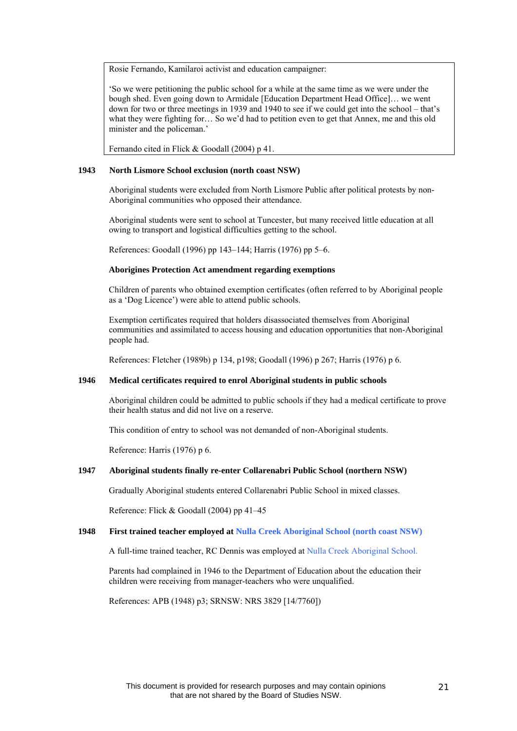Rosie Fernando, Kamilaroi activist and education campaigner:

'So we were petitioning the public school for a while at the same time as we were under the bough shed. Even going down to Armidale [Education Department Head Office]… we went down for two or three meetings in 1939 and 1940 to see if we could get into the school – that's what they were fighting for… So we'd had to petition even to get that Annex, me and this old minister and the policeman.'

Fernando cited in Flick & Goodall (2004) p 41.

#### North Lismore School exclusion (north coast NSW) **1**

Aboriginal students were excluded from North Lismore Public after political protests by non-Aboriginal communities who opposed their attendance.

Aboriginal students were sent to school at Tuncester, but many received little education at all owing to transport and logistical difficulties getting to the school.

References: Goodall (1996) pp 143–144; Harris (1976) pp 5–6.

#### **Aborigines Protection Act amendment regarding exemptions**

Children of parents who obtained exemption certificates (often referred to by Aboriginal people as a 'Dog Licence') were able to attend public schools.

xemption certificates required that holders disassociated themselves from Aboriginal E communities and assimilated to access housing and education opportunities that non-Aboriginal people had.

References: Fletcher (1989b) p 134, p198; Goodall (1996) p 267; Harris (1976) p 6.

#### **946 Medical certificates required to enrol Aboriginal students in public schools 1**

Aboriginal children could be admitted to public schools if they had a medical certificate to prove their health status and did not live on a reserve.

This condition of entry to school was not demanded of non-Aboriginal students.

Reference: Harris (1976) p 6.

#### **1947 boriginal students finally re-enter Collarenabri Public School (northern NSW) A**

Gradually Aboriginal students entered Collarenabri Public School in mixed classes.

Reference: Flick & Goodall (2004) pp 41–45

#### **948 First trained teacher employed at Nulla Creek Aboriginal School (north coast NSW) 1**

A full-time trained teacher, RC Dennis was employed at Nulla Creek Aboriginal School.

Parents had complained in 1946 to the Department of Education about the education their children were receiving from manager-teachers who were unqualified.

References: APB (1948) p3; SRNSW: NRS 3829 [14/7760])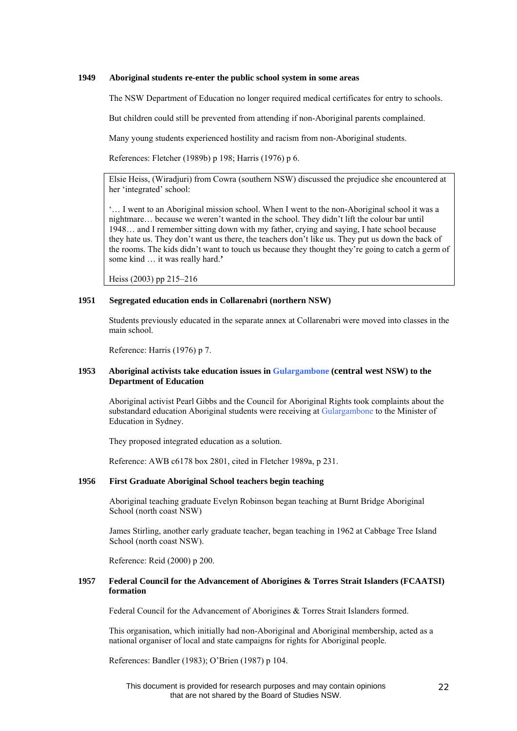#### **1949 Aboriginal students re-enter the public school system in some areas**

The NSW Department of Education no longer required medical certificates for entry to schools.

But children could still be prevented from attending if non-Aboriginal parents complained.

Many young students experienced hostility and racism from non-Aboriginal students.

References: Fletcher (1989b) p 198; Harris (1976) p 6.

Elsie Heiss, (Wiradjuri) from Cowra (southern NSW) discussed the prejudice she encountered at her 'integrated' school:

'… I went to an Aboriginal mission school. When I went to the non-Aboriginal school it was a nightmare… because we weren't wanted in the school. They didn't lift the colour bar until 1948… and I remember sitting down with my father, crying and saying, I hate school because they hate us. They don't want us there, the teachers don't like us. They put us down the back of the rooms. The kids didn't want to touch us because they thought they're going to catch a germ of some kind … it was really hard.**'**

Heiss (2003) pp 215–216

# **1951 Segregated education ends in Collarenabri (northern NSW)**

Students previously educated in the separate annex at Collarenabri were moved into classes in the main school.

Reference: Harris (1976) p 7.

# **1953 Aboriginal activists take education issues in Gulargambone (central west NSW) to the Department of Education**

Aboriginal activist Pearl Gibbs and the Council for Aboriginal Rights took complaints about the substandard education Aboriginal students were receiving at Gulargambone to the Minister of Education in Sydney.

They proposed integrated education as a solution.

Reference: AWB c6178 box 2801, cited in Fletcher 1989a, p 231.

# **1956 First Graduate Aboriginal School teachers begin teaching**

Aboriginal teaching graduate Evelyn Robinson began teaching at Burnt Bridge Aboriginal School (north coast NSW)

James Stirling, another early graduate teacher, began teaching in 1962 at Cabbage Tree Island School (north coast NSW).

Reference: Reid (2000) p 200.

# **1957 Federal Council for the Advancement of Aborigines & Torres Strait Islanders (FCAATSI) formation**

Federal Council for the Advancement of Aborigines & Torres Strait Islanders formed.

This organisation, which initially had non-Aboriginal and Aboriginal membership, acted as a national organiser of local and state campaigns for rights for Aboriginal people.

References: Bandler (1983); O'Brien (1987) p 104.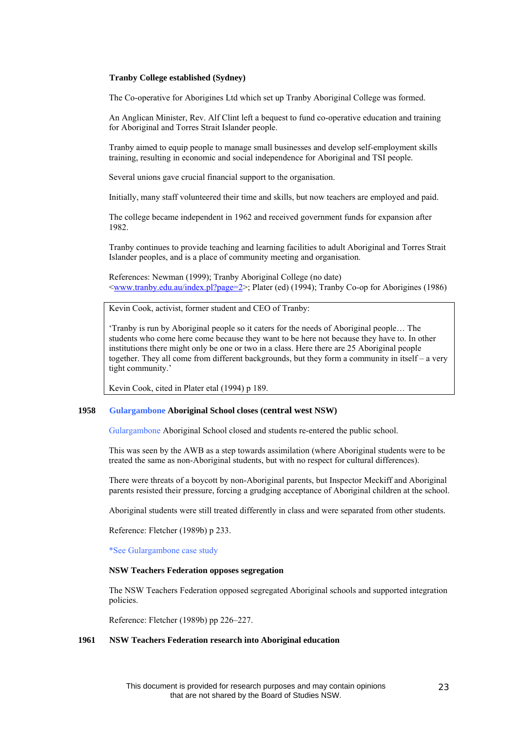#### **Tranby College established (Sydney)**

The Co-operative for Aborigines Ltd which set up Tranby Aboriginal College was formed.

An Anglican Minister, Rev. Alf Clint left a bequest to fund co-operative education and training for Aboriginal and Torres Strait Islander people.

Tranby aimed to equip people to manage small businesses and develop self-employment skills training, resulting in economic and social independence for Aboriginal and TSI people.

Several unions gave crucial financial support to the organisation.

Initially, many staff volunteered their time and skills, but now teachers are employed and paid.

The college became independent in 1962 and received government funds for expansion after 1982.

Tranby continues to provide teaching and learning facilities to adult Aboriginal and Torres Strait Islander peoples, and is a place of community meeting and organisation.

References: Newman (1999); Tranby Aboriginal College (no date) [<www.tranby.edu.au/index.pl?page=2>](http://www.tranby.edu.au/index.pl?page=2); Plater (ed) (1994); Tranby Co-op for Aborigines (1986)

Kevin Cook, activist, former student and CEO of Tranby:

'Tranby is run by Aboriginal people so it caters for the needs of Aboriginal people… The students who come here come because they want to be here not because they have to. In other institutions there might only be one or two in a class. Here there are 25 Aboriginal people together. They all come from different backgrounds, but they form a community in itself – a very tight community.'

Kevin Cook, cited in Plater etal (1994) p 189.

# **1958 Gulargambone Aboriginal School closes (central west NSW)**

Gulargambone Aboriginal School closed and students re-entered the public school.

This was seen by the AWB as a step towards assimilation (where Aboriginal students were to be treated the same as non-Aboriginal students, but with no respect for cultural differences).

There were threats of a boycott by non-Aboriginal parents, but Inspector Meckiff and Aboriginal parents resisted their pressure, forcing a grudging acceptance of Aboriginal children at the school.

Aboriginal students were still treated differently in class and were separated from other students.

Reference: Fletcher (1989b) p 233.

\*See Gulargambone case study

#### **NSW Teachers Federation opposes segregation**

The NSW Teachers Federation opposed segregated Aboriginal schools and supported integration policies.

Reference: Fletcher (1989b) pp 226–227.

#### **1961 NSW Teachers Federation research into Aboriginal education**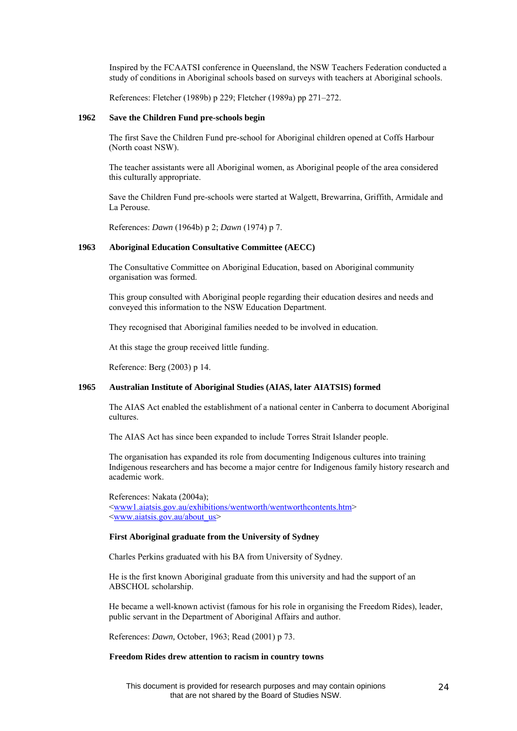Inspired by the FCAATSI conference in Queensland, the NSW Teachers Federation conducted a study of conditions in Aboriginal schools based on surveys with teachers at Aboriginal schools.

References: Fletcher (1989b) p 229; Fletcher (1989a) pp 271–272.

#### **1962 Save the Children Fund pre-schools begin**

The first Save the Children Fund pre-school for Aboriginal children opened at Coffs Harbour (North coast NSW).

The teacher assistants were all Aboriginal women, as Aboriginal people of the area considered this culturally appropriate.

Save the Children Fund pre-schools were started at Walgett, Brewarrina, Griffith, Armidale and La Perouse.

References: *Dawn* (1964b) p 2; *Dawn* (1974) p 7.

#### **1963 Aboriginal Education Consultative Committee (AECC)**

The Consultative Committee on Aboriginal Education, based on Aboriginal community organisation was formed.

This group consulted with Aboriginal people regarding their education desires and needs and conveyed this information to the NSW Education Department.

They recognised that Aboriginal families needed to be involved in education.

At this stage the group received little funding.

Reference: Berg (2003) p 14.

# **1965 Australian Institute of Aboriginal Studies (AIAS, later AIATSIS) formed**

The AIAS Act enabled the establishment of a national center in Canberra to document Aboriginal cultures.

The AIAS Act has since been expanded to include Torres Strait Islander people.

The organisation has expanded its role from documenting Indigenous cultures into training Indigenous researchers and has become a major centre for Indigenous family history research and academic work.

References: Nakata (2004a); [<www1.aiatsis.gov.au/exhibitions/wentworth/wentworthcontents.htm](http://www1.aiatsis.gov.au/exhibitions/wentworth/wentworthcontents.htm)> [<www.aiatsis.gov.au/about\\_us](http://www.aiatsis.gov.au/about_us)>

# **First Aboriginal graduate from the University of Sydney**

Charles Perkins graduated with his BA from University of Sydney.

He is the first known Aboriginal graduate from this university and had the support of an ABSCHOL scholarship.

He became a well-known activist (famous for his role in organising the Freedom Rides), leader, public servant in the Department of Aboriginal Affairs and author.

References: *Dawn,* October, 1963; Read (2001) p 73.

#### **Freedom Rides drew attention to racism in country towns**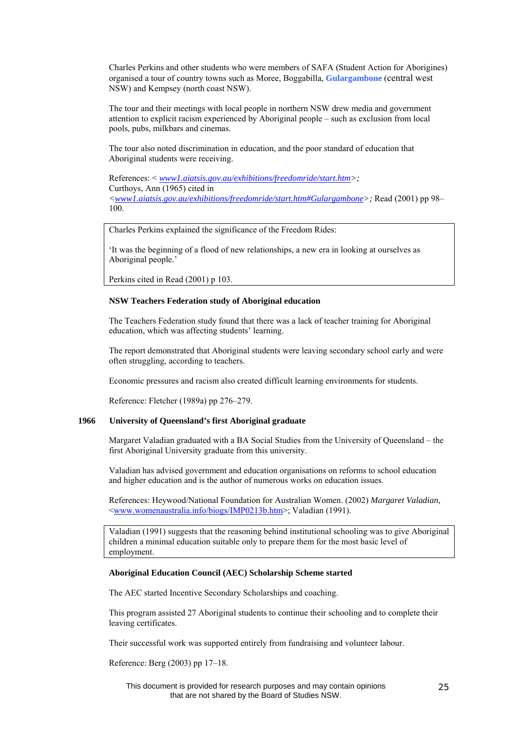Charles Perkins and other students who were members of SAFA (Student Action for Aborigines) organised a tour of country towns such as Moree, Boggabilla, **Gulargambone** (central west NSW) and Kempsey (north coast NSW).

The tour and their meetings with local people in northern NSW drew media and government attention to explicit racism experienced by Aboriginal people – such as exclusion from local pools, pubs, milkbars and cinemas.

The tour also noted discrimination in education, and the poor standard of education that Aboriginal students were receiving.

References: < *[www1.aiatsis.gov.au/exhibitions/freedomride/start.htm>](http://www1.aiatsis.gov.au/exhibitions/freedomride/start.htm);*  Curthoys, Ann (1965) cited in *[<www1.aiatsis.gov.au/exhibitions/freedomride/start.htm#Gulargambone>](http://www1.aiatsis.gov.au/exhibitions/freedomride/start.htm#Gulargambone);* Read (2001) pp 98– 100.

Charles Perkins explained the significance of the Freedom Rides:

'It was the beginning of a flood of new relationships, a new era in looking at ourselves as Aboriginal people.'

Perkins cited in Read (2001) p 103.

# **NSW Teachers Federation study of Aboriginal education**

The Teachers Federation study found that there was a lack of teacher training for Aboriginal education, which was affecting students' learning.

The report demonstrated that Aboriginal students were leaving secondary school early and were often struggling, according to teachers.

Economic pressures and racism also created difficult learning environments for students.

Reference: Fletcher (1989a) pp 276–279.

#### **1966 University of Queensland's first Aboriginal graduate**

Margaret Valadian graduated with a BA Social Studies from the University of Queensland – the first Aboriginal University graduate from this university.

Valadian has advised government and education organisations on reforms to school education and higher education and is the author of numerous works on education issues.

References: Heywood/National Foundation for Australian Women. (2002) *Margaret Valadian,*  [<www.womenaustralia.info/biogs/IMP0213b.htm>](http://www.womenaustralia.info/biogs/IMP0213b.htm); Valadian (1991).

Valadian (1991) suggests that the reasoning behind institutional schooling was to give Aboriginal children a minimal education suitable only to prepare them for the most basic level of employment.

#### **Aboriginal Education Council (AEC) Scholarship Scheme started**

The AEC started Incentive Secondary Scholarships and coaching.

This program assisted 27 Aboriginal students to continue their schooling and to complete their leaving certificates.

Their successful work was supported entirely from fundraising and volunteer labour.

Reference: Berg (2003) pp 17–18.

This document is provided for research purposes and may contain opinions that are not shared by the Board of Studies NSW.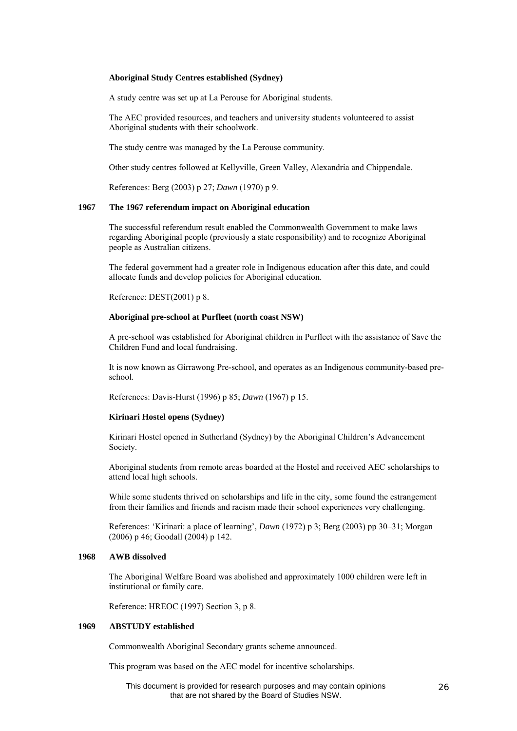#### **Aboriginal Study Centres established (Sydney)**

A study centre was set up at La Perouse for Aboriginal students.

The AEC provided resources, and teachers and university students volunteered to assist Aboriginal students with their schoolwork.

The study centre was managed by the La Perouse community.

Other study centres followed at Kellyville, Green Valley, Alexandria and Chippendale.

References: Berg (2003) p 27; *Dawn* (1970) p 9.

#### **1967 The 1967 referendum impact on Aboriginal education**

The successful referendum result enabled the Commonwealth Government to make laws regarding Aboriginal people (previously a state responsibility) and to recognize Aboriginal people as Australian citizens.

The federal government had a greater role in Indigenous education after this date, and could allocate funds and develop policies for Aboriginal education.

Reference: DEST(2001) p 8.

### **Aboriginal pre-school at Purfleet (north coast NSW)**

A pre-school was established for Aboriginal children in Purfleet with the assistance of Save the Children Fund and local fundraising.

It is now known as Girrawong Pre-school, and operates as an Indigenous community-based preschool.

References: Davis-Hurst (1996) p 85; *Dawn* (1967) p 15.

#### **Kirinari Hostel opens (Sydney)**

Kirinari Hostel opened in Sutherland (Sydney) by the Aboriginal Children's Advancement Society.

Aboriginal students from remote areas boarded at the Hostel and received AEC scholarships to attend local high schools.

While some students thrived on scholarships and life in the city, some found the estrangement from their families and friends and racism made their school experiences very challenging.

References: 'Kirinari: a place of learning', *Dawn* (1972) p 3; Berg (2003) pp 30–31; Morgan (2006) p 46; Goodall (2004) p 142.

# **1968 AWB dissolved**

The Aboriginal Welfare Board was abolished and approximately 1000 children were left in institutional or family care.

Reference: HREOC (1997) Section 3, p 8.

# **1969 ABSTUDY established**

Commonwealth Aboriginal Secondary grants scheme announced.

This program was based on the AEC model for incentive scholarships.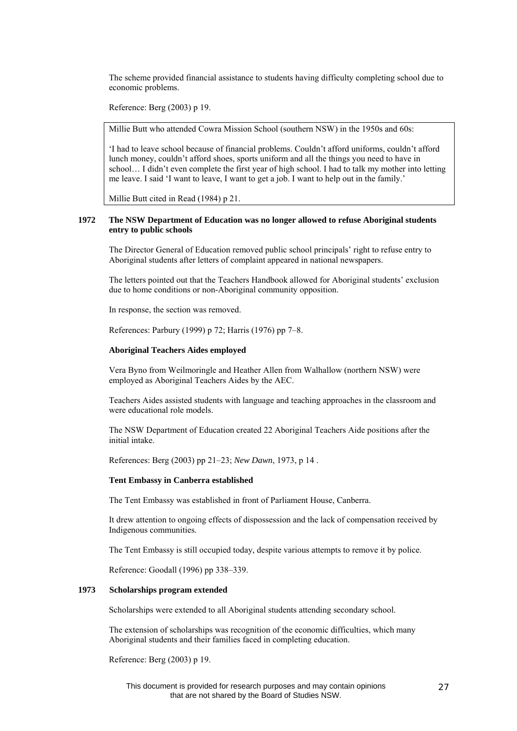The scheme provided financial assistance to students having difficulty completing school due to economic problems.

Reference: Berg (2003) p 19.

Millie Butt who attended Cowra Mission School (southern NSW) in the 1950s and 60s:

'I had to leave school because of financial problems. Couldn't afford uniforms, couldn't afford lunch money, couldn't afford shoes, sports uniform and all the things you need to have in school… I didn't even complete the first year of high school. I had to talk my mother into letting me leave. I said 'I want to leave, I want to get a job. I want to help out in the family.'

Millie Butt cited in Read (1984) p 21.

# **1972 The NSW Department of Education was no longer allowed to refuse Aboriginal students entry to public schools**

The Director General of Education removed public school principals' right to refuse entry to Aboriginal students after letters of complaint appeared in national newspapers.

The letters pointed out that the Teachers Handbook allowed for Aboriginal students' exclusion due to home conditions or non-Aboriginal community opposition.

In response, the section was removed.

References: Parbury (1999) p 72; Harris (1976) pp 7–8.

#### **Aboriginal Teachers Aides employed**

Vera Byno from Weilmoringle and Heather Allen from Walhallow (northern NSW) were employed as Aboriginal Teachers Aides by the AEC.

Teachers Aides assisted students with language and teaching approaches in the classroom and were educational role models.

The NSW Department of Education created 22 Aboriginal Teachers Aide positions after the initial intake.

References: Berg (2003) pp 21–23; *New Dawn*, 1973, p 14 .

# **Tent Embassy in Canberra established**

The Tent Embassy was established in front of Parliament House, Canberra.

It drew attention to ongoing effects of dispossession and the lack of compensation received by Indigenous communities.

The Tent Embassy is still occupied today, despite various attempts to remove it by police.

Reference: Goodall (1996) pp 338–339.

#### **1973 Scholarships program extended**

Scholarships were extended to all Aboriginal students attending secondary school.

The extension of scholarships was recognition of the economic difficulties, which many Aboriginal students and their families faced in completing education.

Reference: Berg (2003) p 19.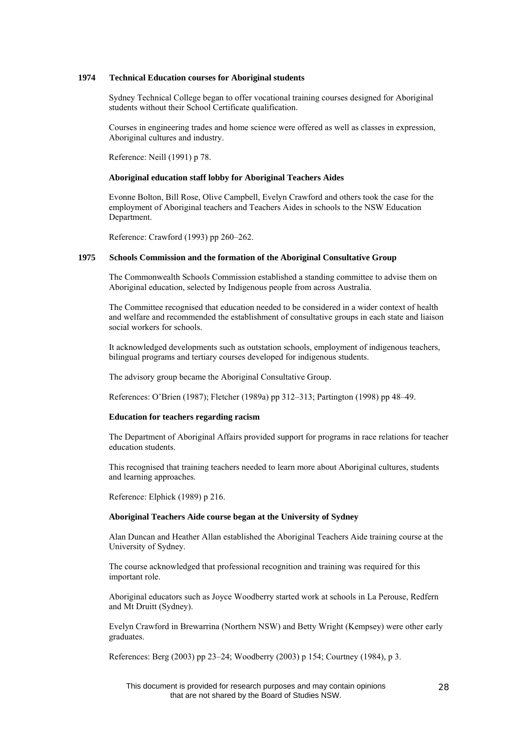# **1974 Technical Education courses for Aboriginal students**

Sydney Technical College began to offer vocational training courses designed for Aboriginal students without their School Certificate qualification.

Courses in engineering trades and home science were offered as well as classes in expression, Aboriginal cultures and industry.

Reference: Neill (1991) p 78.

#### **Aboriginal education staff lobby for Aboriginal Teachers Aides**

Evonne Bolton, Bill Rose, Olive Campbell, Evelyn Crawford and others took the case for the employment of Aboriginal teachers and Teachers Aides in schools to the NSW Education Department.

Reference: Crawford (1993) pp 260–262.

# **1975 Schools Commission and the formation of the Aboriginal Consultative Group**

The Commonwealth Schools Commission established a standing committee to advise them on Aboriginal education, selected by Indigenous people from across Australia.

The Committee recognised that education needed to be considered in a wider context of health and welfare and recommended the establishment of consultative groups in each state and liaison social workers for schools.

It acknowledged developments such as outstation schools, employment of indigenous teachers, bilingual programs and tertiary courses developed for indigenous students.

The advisory group became the Aboriginal Consultative Group.

References: O'Brien (1987); Fletcher (1989a) pp 312–313; Partington (1998) pp 48–49.

#### **Education for teachers regarding racism**

The Department of Aboriginal Affairs provided support for programs in race relations for teacher education students.

This recognised that training teachers needed to learn more about Aboriginal cultures, students and learning approaches.

Reference: Elphick (1989) p 216.

#### **Aboriginal Teachers Aide course began at the University of Sydney**

Alan Duncan and Heather Allan established the Aboriginal Teachers Aide training course at the University of Sydney.

The course acknowledged that professional recognition and training was required for this important role.

Aboriginal educators such as Joyce Woodberry started work at schools in La Perouse, Redfern and Mt Druitt (Sydney).

Evelyn Crawford in Brewarrina (Northern NSW) and Betty Wright (Kempsey) were other early graduates.

References: Berg (2003) pp 23–24; Woodberry (2003) p 154; Courtney (1984), p 3.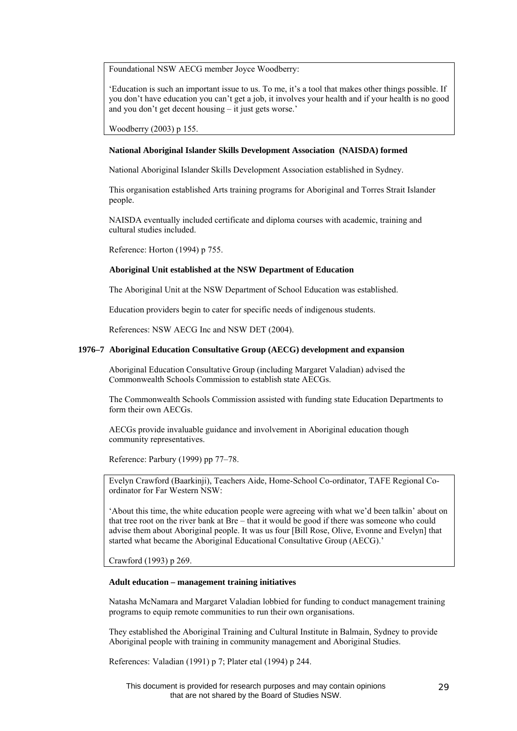Foundational NSW AECG member Joyce Woodberry:

'Education is such an important issue to us. To me, it's a tool that makes other things possible. If you don't have education you can't get a job, it involves your health and if your health is no good and you don't get decent housing – it just gets worse.'

Woodberry (2003) p 155.

#### **National Aboriginal Islander Skills Development Association (NAISDA) formed**

National Aboriginal Islander Skills Development Association established in Sydney.

This organisation established Arts training programs for Aboriginal and Torres Strait Islander people.

NAISDA eventually included certificate and diploma courses with academic, training and cultural studies included.

Reference: Horton (1994) p 755.

# **Aboriginal Unit established at the NSW Department of Education**

The Aboriginal Unit at the NSW Department of School Education was established.

Education providers begin to cater for specific needs of indigenous students.

References: NSW AECG Inc and NSW DET (2004).

#### **1976–7 Aboriginal Education Consultative Group (AECG) development and expansion**

Aboriginal Education Consultative Group (including Margaret Valadian) advised the Commonwealth Schools Commission to establish state AECGs.

The Commonwealth Schools Commission assisted with funding state Education Departments to form their own AECGs.

AECGs provide invaluable guidance and involvement in Aboriginal education though community representatives.

Reference: Parbury (1999) pp 77–78.

Evelyn Crawford (Baarkinji), Teachers Aide, Home-School Co-ordinator, TAFE Regional Coordinator for Far Western NSW:

'About this time, the white education people were agreeing with what we'd been talkin' about on that tree root on the river bank at Bre – that it would be good if there was someone who could advise them about Aboriginal people. It was us four [Bill Rose, Olive, Evonne and Evelyn] that started what became the Aboriginal Educational Consultative Group (AECG).'

Crawford (1993) p 269.

# **Adult education – management training initiatives**

Natasha McNamara and Margaret Valadian lobbied for funding to conduct management training programs to equip remote communities to run their own organisations.

They established the Aboriginal Training and Cultural Institute in Balmain, Sydney to provide Aboriginal people with training in community management and Aboriginal Studies.

References: Valadian (1991) p 7; Plater etal (1994) p 244.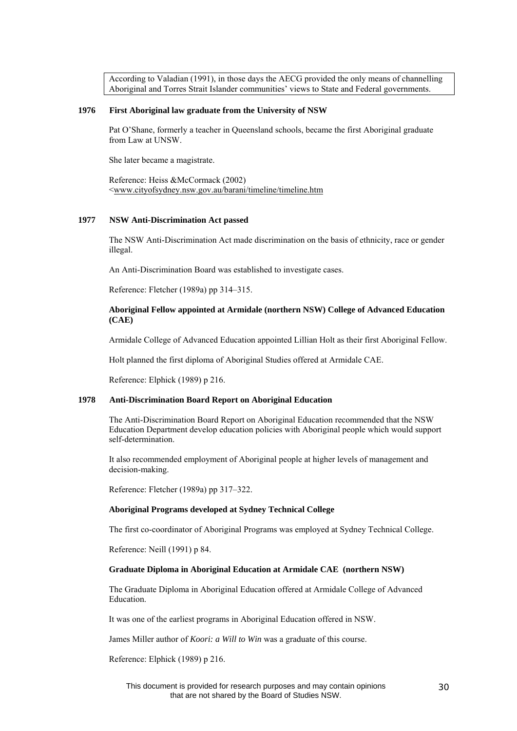According to Valadian (1991), in those days the AECG provided the only means of channelling Aboriginal and Torres Strait Islander communities' views to State and Federal governments.

# **1976 First Aboriginal law graduate from the University of NSW**

Pat O'Shane, formerly a teacher in Queensland schools, became the first Aboriginal graduate from Law at UNSW.

She later became a magistrate.

Reference: Heiss &McCormack (2002) [<www.cityofsydney.nsw.gov.au/barani/timeline/timeline.htm](http://www.cityofsydney.nsw.gov.au/barani/timeline/timeline.htm)

# **1977 NSW Anti-Discrimination Act passed**

The NSW Anti-Discrimination Act made discrimination on the basis of ethnicity, race or gender illegal.

An Anti-Discrimination Board was established to investigate cases.

Reference: Fletcher (1989a) pp 314–315.

# **Aboriginal Fellow appointed at Armidale (northern NSW) College of Advanced Education (CAE)**

Armidale College of Advanced Education appointed Lillian Holt as their first Aboriginal Fellow.

Holt planned the first diploma of Aboriginal Studies offered at Armidale CAE.

Reference: Elphick (1989) p 216.

# **1978 Anti-Discrimination Board Report on Aboriginal Education**

The Anti-Discrimination Board Report on Aboriginal Education recommended that the NSW Education Department develop education policies with Aboriginal people which would support self-determination.

It also recommended employment of Aboriginal people at higher levels of management and decision-making.

Reference: Fletcher (1989a) pp 317–322.

#### **Aboriginal Programs developed at Sydney Technical College**

The first co-coordinator of Aboriginal Programs was employed at Sydney Technical College.

Reference: Neill (1991) p 84.

#### **Graduate Diploma in Aboriginal Education at Armidale CAE (northern NSW)**

The Graduate Diploma in Aboriginal Education offered at Armidale College of Advanced Education.

It was one of the earliest programs in Aboriginal Education offered in NSW.

James Miller author of *Koori: a Will to Win* was a graduate of this course.

Reference: Elphick (1989) p 216.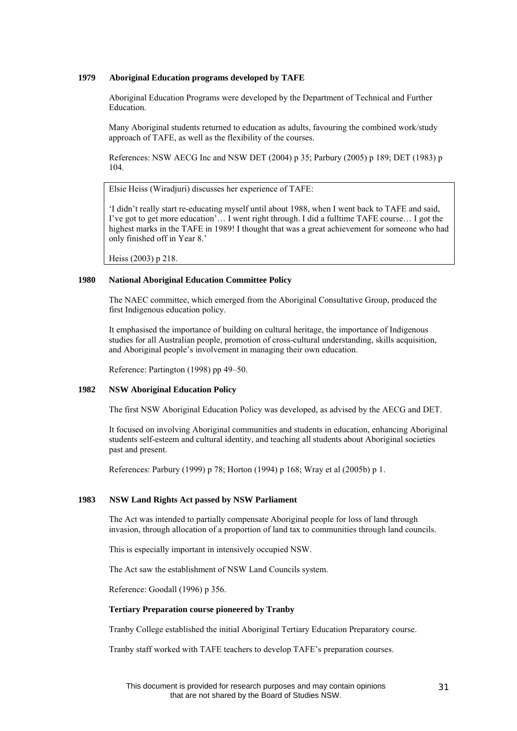# **1979 Aboriginal Education programs developed by TAFE**

Aboriginal Education Programs were developed by the Department of Technical and Further Education.

Many Aboriginal students returned to education as adults, favouring the combined work/study approach of TAFE, as well as the flexibility of the courses.

References: NSW AECG Inc and NSW DET (2004) p 35; Parbury (2005) p 189; DET (1983) p 104.

Elsie Heiss (Wiradjuri) discusses her experience of TAFE:

'I didn't really start re-educating myself until about 1988, when I went back to TAFE and said, I've got to get more education'… I went right through. I did a fulltime TAFE course… I got the highest marks in the TAFE in 1989! I thought that was a great achievement for someone who had only finished off in Year 8.'

Heiss (2003) p 218.

# **1980 National Aboriginal Education Committee Policy**

 The NAEC committee, which emerged from the Aboriginal Consultative Group, produced the first Indigenous education policy.

 It emphasised the importance of building on cultural heritage, the importance of Indigenous studies for all Australian people, promotion of cross-cultural understanding, skills acquisition, and Aboriginal people's involvement in managing their own education.

Reference: Partington (1998) pp 49–50.

#### **1982 NSW Aboriginal Education Policy**

The first NSW Aboriginal Education Policy was developed, as advised by the AECG and DET.

It focused on involving Aboriginal communities and students in education, enhancing Aboriginal students self-esteem and cultural identity, and teaching all students about Aboriginal societies past and present.

References: Parbury (1999) p 78; Horton (1994) p 168; Wray et al (2005b) p 1.

#### **1983 NSW Land Rights Act passed by NSW Parliament**

The Act was intended to partially compensate Aboriginal people for loss of land through invasion, through allocation of a proportion of land tax to communities through land councils.

This is especially important in intensively occupied NSW.

The Act saw the establishment of NSW Land Councils system.

Reference: Goodall (1996) p 356.

# **Tertiary Preparation course pioneered by Tranby**

Tranby College established the initial Aboriginal Tertiary Education Preparatory course.

Tranby staff worked with TAFE teachers to develop TAFE's preparation courses.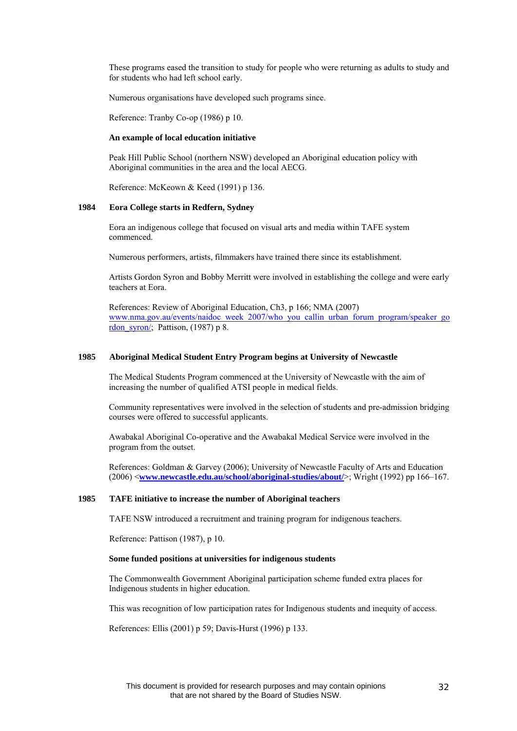These programs eased the transition to study for people who were returning as adults to study and for students who had left school early.

Numerous organisations have developed such programs since.

Reference: Tranby Co-op (1986) p 10.

#### **An example of local education initiative**

Peak Hill Public School (northern NSW) developed an Aboriginal education policy with Aboriginal communities in the area and the local AECG.

Reference: McKeown & Keed (1991) p 136.

#### **1984 Eora College starts in Redfern, Sydney**

Eora an indigenous college that focused on visual arts and media within TAFE system commenced.

Numerous performers, artists, filmmakers have trained there since its establishment.

Artists Gordon Syron and Bobby Merritt were involved in establishing the college and were early teachers at Eora.

References: Review of Aboriginal Education, Ch3, p 166; NMA (2007) [www.nma.gov.au/events/naidoc\\_week\\_2007/who\\_you\\_callin\\_urban\\_forum\\_program/speaker\\_go](http://www.nma.gov.au/events/naidoc_week_2007/who_you_callin_urban_forum_program/speaker_gordon_syron/) rdon syron/; Pattison, (1987) p 8.

# **1985 Aboriginal Medical Student Entry Program begins at University of Newcastle**

The Medical Students Program commenced at the University of Newcastle with the aim of increasing the number of qualified ATSI people in medical fields.

Community representatives were involved in the selection of students and pre-admission bridging courses were offered to successful applicants.

Awabakal Aboriginal Co-operative and the Awabakal Medical Service were involved in the program from the outset.

References: Goldman & Garvey (2006); University of Newcastle Faculty of Arts and Education (2006) <**[www.newcastle.edu.au/school/aboriginal-studies/about/](http://www.newcastle.edu.au/school/aboriginal-studies/about/)**>; Wright (1992) pp 166–167.

#### **1985 TAFE initiative to increase the number of Aboriginal teachers**

TAFE NSW introduced a recruitment and training program for indigenous teachers.

Reference: Pattison (1987), p 10.

#### **Some funded positions at universities for indigenous students**

The Commonwealth Government Aboriginal participation scheme funded extra places for Indigenous students in higher education.

This was recognition of low participation rates for Indigenous students and inequity of access.

References: Ellis (2001) p 59; Davis-Hurst (1996) p 133.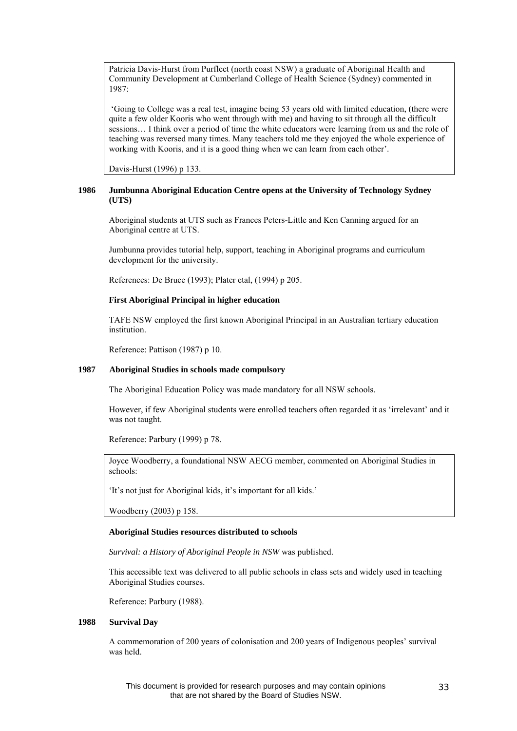Patricia Davis-Hurst from Purfleet (north coast NSW) a graduate of Aboriginal Health and Community Development at Cumberland College of Health Science (Sydney) commented in 1987:

 'Going to College was a real test, imagine being 53 years old with limited education, (there were quite a few older Kooris who went through with me) and having to sit through all the difficult sessions… I think over a period of time the white educators were learning from us and the role of teaching was reversed many times. Many teachers told me they enjoyed the whole experience of working with Kooris, and it is a good thing when we can learn from each other'.

Davis-Hurst (1996) p 133.

# **1986 Jumbunna Aboriginal Education Centre opens at the University of Technology Sydney (UTS)**

Aboriginal students at UTS such as Frances Peters-Little and Ken Canning argued for an Aboriginal centre at UTS.

Jumbunna provides tutorial help, support, teaching in Aboriginal programs and curriculum development for the university.

References: De Bruce (1993); Plater etal, (1994) p 205.

# **First Aboriginal Principal in higher education**

TAFE NSW employed the first known Aboriginal Principal in an Australian tertiary education institution.

Reference: Pattison (1987) p 10.

# **1987 Aboriginal Studies in schools made compulsory**

The Aboriginal Education Policy was made mandatory for all NSW schools.

However, if few Aboriginal students were enrolled teachers often regarded it as 'irrelevant' and it was not taught.

Reference: Parbury (1999) p 78.

Joyce Woodberry, a foundational NSW AECG member, commented on Aboriginal Studies in schools:

'It's not just for Aboriginal kids, it's important for all kids.'

Woodberry (2003) p 158.

#### **Aboriginal Studies resources distributed to schools**

*Survival: a History of Aboriginal People in NSW* was published.

This accessible text was delivered to all public schools in class sets and widely used in teaching Aboriginal Studies courses.

Reference: Parbury (1988).

# **1988 Survival Day**

A commemoration of 200 years of colonisation and 200 years of Indigenous peoples' survival was held.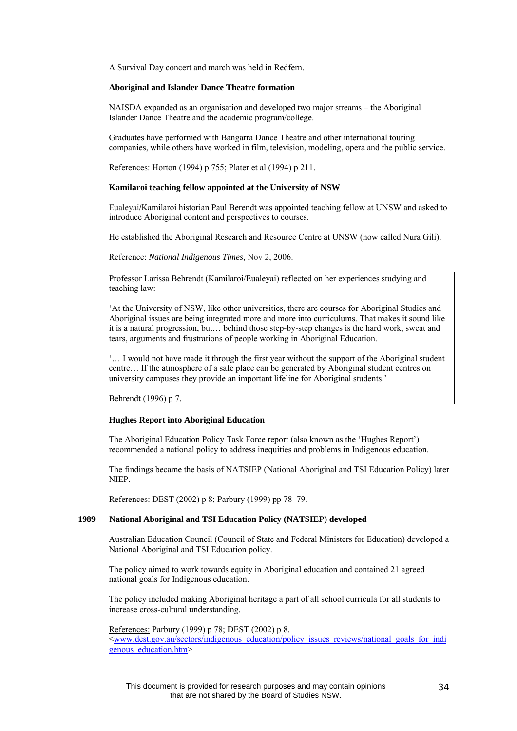A Survival Day concert and march was held in Redfern.

#### **Aboriginal and Islander Dance Theatre formation**

NAISDA expanded as an organisation and developed two major streams – the Aboriginal Islander Dance Theatre and the academic program/college.

Graduates have performed with Bangarra Dance Theatre and other international touring companies, while others have worked in film, television, modeling, opera and the public service.

References: Horton (1994) p 755; Plater et al (1994) p 211.

#### **Kamilaroi teaching fellow appointed at the University of NSW**

Eualeyai/Kamilaroi historian Paul Berendt was appointed teaching fellow at UNSW and asked to introduce Aboriginal content and perspectives to courses.

He established the Aboriginal Research and Resource Centre at UNSW (now called Nura Gili).

Reference: *National Indigenous Times,* Nov 2, 2006.

Professor Larissa Behrendt (Kamilaroi/Eualeyai) reflected on her experiences studying and teaching law:

'At the University of NSW, like other universities, there are courses for Aboriginal Studies and Aboriginal issues are being integrated more and more into curriculums. That makes it sound like it is a natural progression, but… behind those step-by-step changes is the hard work, sweat and tears, arguments and frustrations of people working in Aboriginal Education.

'… I would not have made it through the first year without the support of the Aboriginal student centre… If the atmosphere of a safe place can be generated by Aboriginal student centres on university campuses they provide an important lifeline for Aboriginal students.'

Behrendt (1996) p 7.

#### **Hughes Report into Aboriginal Education**

The Aboriginal Education Policy Task Force report (also known as the 'Hughes Report') recommended a national policy to address inequities and problems in Indigenous education.

The findings became the basis of NATSIEP (National Aboriginal and TSI Education Policy) later NIEP.

References: DEST (2002) p 8; Parbury (1999) pp 78–79.

# **1989 National Aboriginal and TSI Education Policy (NATSIEP) developed**

Australian Education Council (Council of State and Federal Ministers for Education) developed a National Aboriginal and TSI Education policy.

The policy aimed to work towards equity in Aboriginal education and contained 21 agreed national goals for Indigenous education.

The policy included making Aboriginal heritage a part of all school curricula for all students to increase cross-cultural understanding.

References: Parbury (1999) p 78; DEST (2002) p 8. [<www.dest.gov.au/sectors/indigenous\\_education/policy\\_issues\\_reviews/national\\_goals\\_for\\_indi](http://www.dest.gov.au/sectors/indigenous_education/policy_issues_reviews/national_goals_for_indigenous_education.htm) genous education.htm>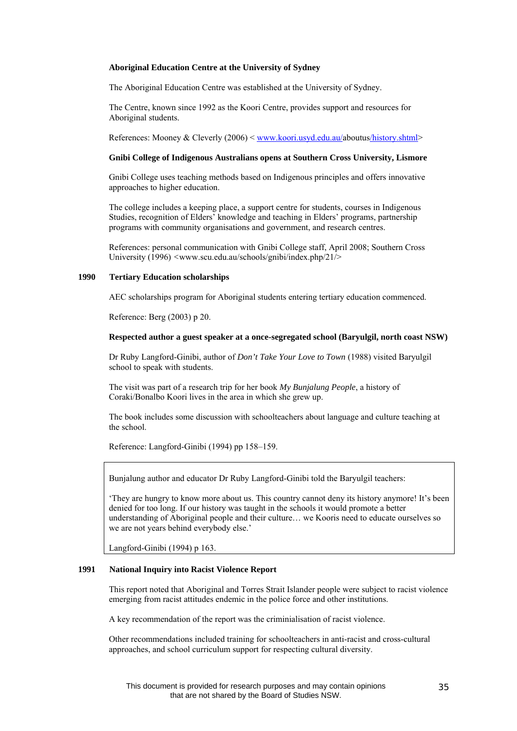#### **Aboriginal Education Centre at the University of Sydney**

The Aboriginal Education Centre was established at the University of Sydney.

The Centre, known since 1992 as the Koori Centre, provides support and resources for Aboriginal students.

References: Mooney & Cleverly (2006) < [www.koori.usyd.edu.au/aboutus/history.shtml](http://www.koori.usyd.edu.au/aboutus/history.shtml)>

#### **Gnibi College of Indigenous Australians opens at Southern Cross University, Lismore**

Gnibi College uses teaching methods based on Indigenous principles and offers innovative approaches to higher education.

The college includes a keeping place, a support centre for students, courses in Indigenous Studies, recognition of Elders' knowledge and teaching in Elders' programs, partnership programs with community organisations and government, and research centres.

References: personal communication with Gnibi College staff, April 2008; Southern Cross University (1996) *<*www.scu.edu.au/schools/gnibi/index.php/21/>

### **1990 Tertiary Education scholarships**

AEC scholarships program for Aboriginal students entering tertiary education commenced.

Reference: Berg (2003) p 20.

# **Respected author a guest speaker at a once-segregated school (Baryulgil, north coast NSW)**

Dr Ruby Langford-Ginibi, author of *Don't Take Your Love to Town* (1988) visited Baryulgil school to speak with students.

The visit was part of a research trip for her book *My Bunjalung People*, a history of Coraki/Bonalbo Koori lives in the area in which she grew up.

The book includes some discussion with schoolteachers about language and culture teaching at the school.

Reference: Langford-Ginibi (1994) pp 158–159.

Bunjalung author and educator Dr Ruby Langford-Ginibi told the Baryulgil teachers:

'They are hungry to know more about us. This country cannot deny its history anymore! It's been denied for too long. If our history was taught in the schools it would promote a better understanding of Aboriginal people and their culture… we Kooris need to educate ourselves so we are not years behind everybody else.'

Langford-Ginibi (1994) p 163.

# **1991 National Inquiry into Racist Violence Report**

This report noted that Aboriginal and Torres Strait Islander people were subject to racist violence emerging from racist attitudes endemic in the police force and other institutions.

A key recommendation of the report was the criminialisation of racist violence.

Other recommendations included training for schoolteachers in anti-racist and cross-cultural approaches, and school curriculum support for respecting cultural diversity.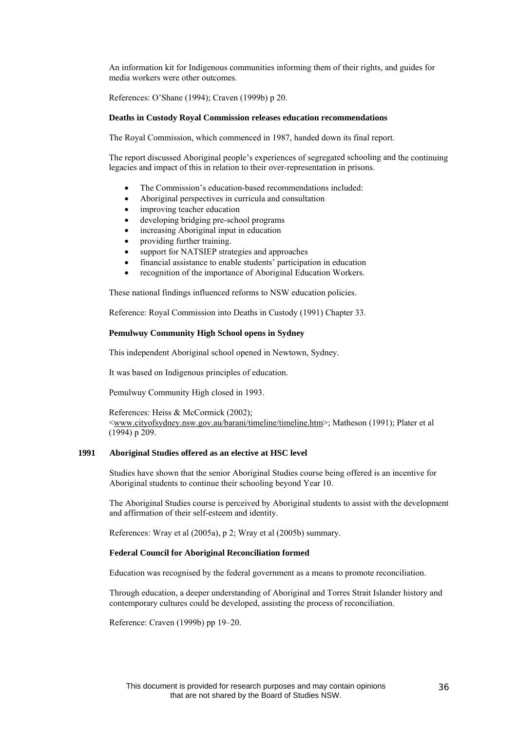An information kit for Indigenous communities informing them of their rights, and guides for media workers were other outcomes.

References: O'Shane (1994); Craven (1999b) p 20.

#### **Deaths in Custody Royal Commission releases education recommendations**

The Royal Commission, which commenced in 1987, handed down its final report.

The report discussed Aboriginal people's experiences of segregated schooling and the continuing legacies and impact of this in relation to their over-representation in prisons.

- The Commission's education-based recommendations included:
- Aboriginal perspectives in curricula and consultation
- improving teacher education
- developing bridging pre-school programs
- increasing Aboriginal input in education
- providing further training.
- support for NATSIEP strategies and approaches
- financial assistance to enable students' participation in education
- recognition of the importance of Aboriginal Education Workers.

These national findings influenced reforms to NSW education policies.

Reference: Royal Commission into Deaths in Custody (1991) Chapter 33.

#### **Pemulwuy Community High School opens in Sydney**

This independent Aboriginal school opened in Newtown, Sydney.

It was based on Indigenous principles of education.

Pemulwuy Community High closed in 1993.

References: Heiss & McCormick (2002); [<www.cityofsydney.nsw.gov.au/barani/timeline/timeline.htm](http://www.cityofsydney.nsw.gov.au/barani/timeline/timeline.htm)>; Matheson (1991); Plater et al (1994) p 209.

#### **1991 Aboriginal Studies offered as an elective at HSC level**

Studies have shown that the senior Aboriginal Studies course being offered is an incentive for Aboriginal students to continue their schooling beyond Year 10.

The Aboriginal Studies course is perceived by Aboriginal students to assist with the development and affirmation of their self-esteem and identity.

References: Wray et al (2005a), p 2; Wray et al (2005b) summary.

#### **Federal Council for Aboriginal Reconciliation formed**

Education was recognised by the federal government as a means to promote reconciliation.

Through education, a deeper understanding of Aboriginal and Torres Strait Islander history and contemporary cultures could be developed, assisting the process of reconciliation.

Reference: Craven (1999b) pp 19–20.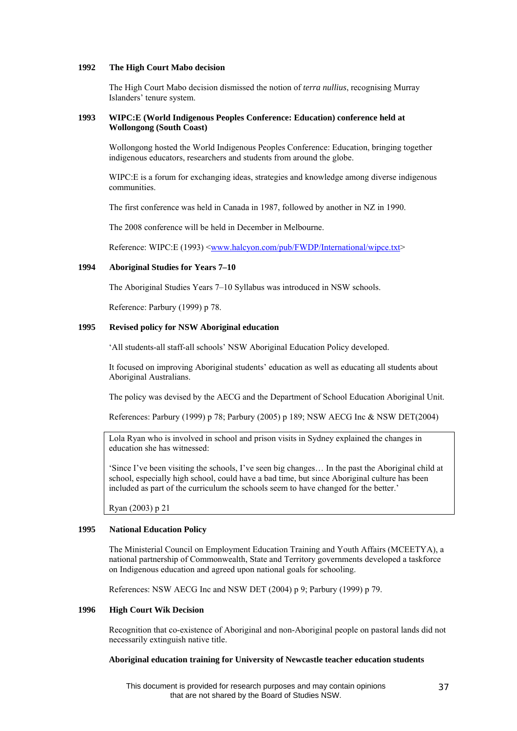#### **1992 The High Court Mabo decision**

The High Court Mabo decision dismissed the notion of *terra nullius*, recognising Murray Islanders' tenure system.

# **1993 WIPC:E (World Indigenous Peoples Conference: Education) conference held at Wollongong (South Coast)**

Wollongong hosted the World Indigenous Peoples Conference: Education, bringing together indigenous educators, researchers and students from around the globe.

WIPC:E is a forum for exchanging ideas, strategies and knowledge among diverse indigenous communities.

The first conference was held in Canada in 1987, followed by another in NZ in 1990.

The 2008 conference will be held in December in Melbourne.

Reference: WIPC:E (1993) <[www.halcyon.com/pub/FWDP/International/wipce.txt](http://www.halcyon.com/pub/FWDP/International/wipce.txt)>

# **1994 Aboriginal Studies for Years 7–10**

The Aboriginal Studies Years 7–10 Syllabus was introduced in NSW schools.

Reference: Parbury (1999) p 78.

# **1995 Revised policy for NSW Aboriginal education**

'All students-all staff-all schools' NSW Aboriginal Education Policy developed.

It focused on improving Aboriginal students' education as well as educating all students about Aboriginal Australians.

The policy was devised by the AECG and the Department of School Education Aboriginal Unit.

References: Parbury (1999) p 78; Parbury (2005) p 189; NSW AECG Inc & NSW DET(2004)

Lola Ryan who is involved in school and prison visits in Sydney explained the changes in education she has witnessed:

'Since I've been visiting the schools, I've seen big changes… In the past the Aboriginal child at school, especially high school, could have a bad time, but since Aboriginal culture has been included as part of the curriculum the schools seem to have changed for the better.'

Ryan (2003) p 21

#### **1995 National Education Policy**

The Ministerial Council on Employment Education Training and Youth Affairs (MCEETYA), a national partnership of Commonwealth, State and Territory governments developed a taskforce on Indigenous education and agreed upon national goals for schooling.

References: NSW AECG Inc and NSW DET (2004) p 9; Parbury (1999) p 79.

# **1996 High Court Wik Decision**

Recognition that co-existence of Aboriginal and non-Aboriginal people on pastoral lands did not necessarily extinguish native title.

# **Aboriginal education training for University of Newcastle teacher education students**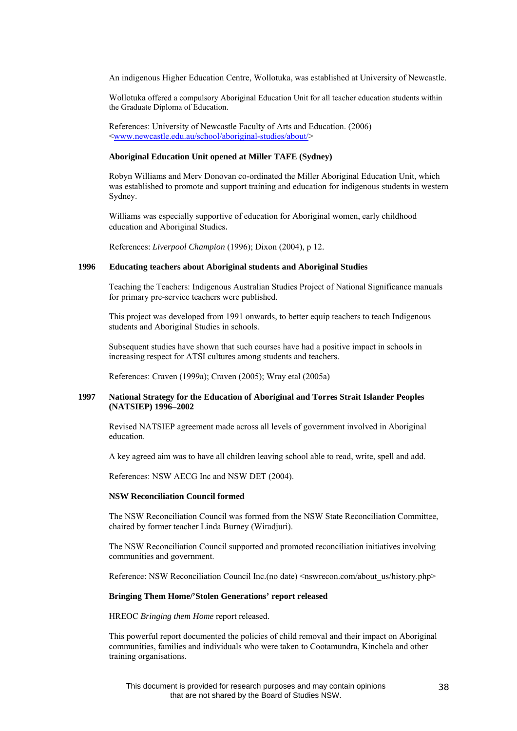An indigenous Higher Education Centre, Wollotuka, was established at University of Newcastle.

Wollotuka offered a compulsory Aboriginal Education Unit for all teacher education students within the Graduate Diploma of Education.

References: University of Newcastle Faculty of Arts and Education. (2006) [<www.newcastle.edu.au/school/aboriginal-studies/about/](http://www.newcastle.edu.au/school/aboriginal-studies/about/)>

# **Aboriginal Education Unit opened at Miller TAFE (Sydney)**

Robyn Williams and Merv Donovan co-ordinated the Miller Aboriginal Education Unit, which was established to promote and support training and education for indigenous students in western Sydney.

Williams was especially supportive of education for Aboriginal women, early childhood education and Aboriginal Studies.

References: *Liverpool Champion* (1996); Dixon (2004), p 12.

#### **1996 Educating teachers about Aboriginal students and Aboriginal Studies**

Teaching the Teachers: Indigenous Australian Studies Project of National Significance manuals for primary pre-service teachers were published.

This project was developed from 1991 onwards, to better equip teachers to teach Indigenous students and Aboriginal Studies in schools.

Subsequent studies have shown that such courses have had a positive impact in schools in increasing respect for ATSI cultures among students and teachers.

References: Craven (1999a); Craven (2005); Wray etal (2005a)

#### **1997 National Strategy for the Education of Aboriginal and Torres Strait Islander Peoples (NATSIEP) 1996–2002**

Revised NATSIEP agreement made across all levels of government involved in Aboriginal education.

A key agreed aim was to have all children leaving school able to read, write, spell and add.

References: NSW AECG Inc and NSW DET (2004).

#### **NSW Reconciliation Council formed**

The NSW Reconciliation Council was formed from the NSW State Reconciliation Committee, chaired by former teacher Linda Burney (Wiradjuri).

The NSW Reconciliation Council supported and promoted reconciliation initiatives involving communities and government.

Reference: NSW Reconciliation Council Inc.(no date) <nswrecon.com/about\_us/history.php>

#### **Bringing Them Home/'Stolen Generations' report released**

HREOC *Bringing them Home* report released.

This powerful report documented the policies of child removal and their impact on Aboriginal communities, families and individuals who were taken to Cootamundra, Kinchela and other training organisations.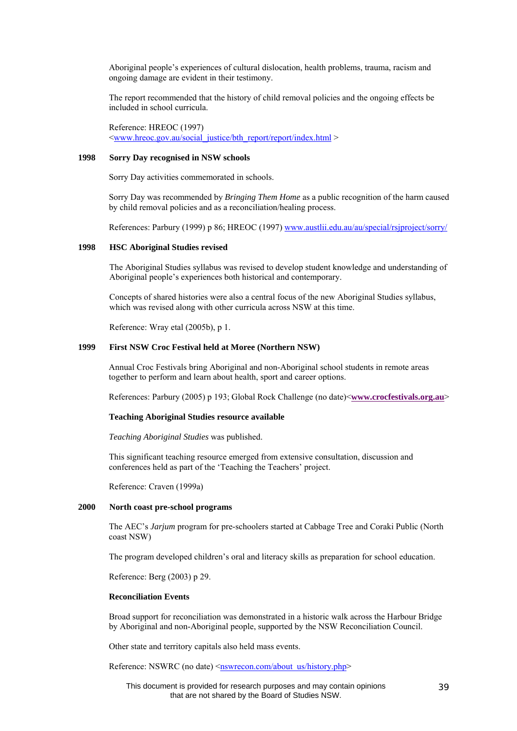Aboriginal people's experiences of cultural dislocation, health problems, trauma, racism and ongoing damage are evident in their testimony.

The report recommended that the history of child removal policies and the ongoing effects be included in school curricula.

Reference: HREOC (1997) [<www.hreoc.gov.au/social\\_justice/bth\\_report/report/index.html](http://www.hreoc.gov.au/social_justice/bth_report/report/index.html) >

# **1998 Sorry Day recognised in NSW schools**

Sorry Day activities commemorated in schools.

Sorry Day was recommended by *Bringing Them Home* as a public recognition of the harm caused by child removal policies and as a reconciliation/healing process.

References: Parbury (1999) p 86; HREOC (1997) [www.austlii.edu.au/au/special/rsjproject/sorry/](http://www.austlii.edu.au/au/special/rsjproject/sorry/)

# **1998 HSC Aboriginal Studies revised**

The Aboriginal Studies syllabus was revised to develop student knowledge and understanding of Aboriginal people's experiences both historical and contemporary.

Concepts of shared histories were also a central focus of the new Aboriginal Studies syllabus, which was revised along with other curricula across NSW at this time.

Reference: Wray etal (2005b), p 1.

# **1999 First NSW Croc Festival held at Moree (Northern NSW)**

Annual Croc Festivals bring Aboriginal and non-Aboriginal school students in remote areas together to perform and learn about health, sport and career options.

References: Parbury (2005) p 193; Global Rock Challenge (no date)<**[www.crocfestivals.org.au](http://www.crocfestivals.org.au/)**>

# **Teaching Aboriginal Studies resource available**

*Teaching Aboriginal Studies* was published.

This significant teaching resource emerged from extensive consultation, discussion and conferences held as part of the 'Teaching the Teachers' project.

Reference: Craven (1999a)

#### **2000 North coast pre-school programs**

The AEC's *Jarjum* program for pre-schoolers started at Cabbage Tree and Coraki Public (North coast NSW)

The program developed children's oral and literacy skills as preparation for school education.

Reference: Berg (2003) p 29.

#### **Reconciliation Events**

Broad support for reconciliation was demonstrated in a historic walk across the Harbour Bridge by Aboriginal and non-Aboriginal people, supported by the NSW Reconciliation Council.

Other state and territory capitals also held mass events.

Reference: NSWRC (no date) <[nswrecon.com/about\\_us/history.php](http://nswrecon.com/about_us/history.php)>

This document is provided for research purposes and may contain opinions that are not shared by the Board of Studies NSW.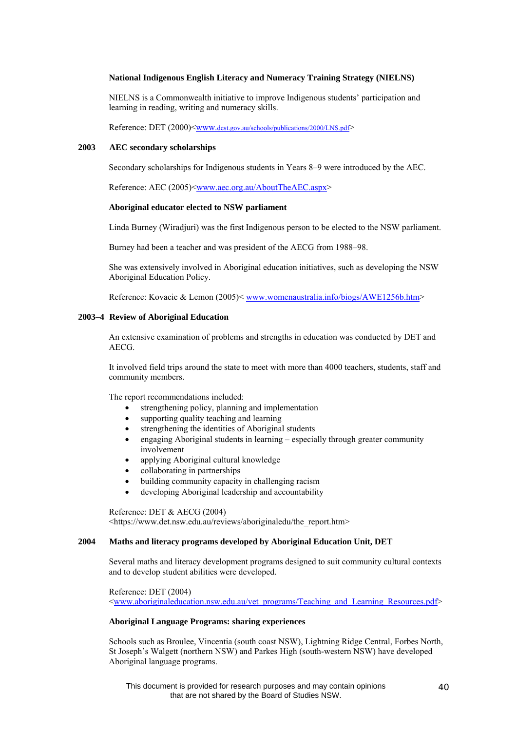# **National Indigenous English Literacy and Numeracy Training Strategy (NIELNS)**

NIELNS is a Commonwealth initiative to improve Indigenous students' participation and learning in reading, writing and numeracy skills.

Reference: DET (2000)<[www.dest.gov.au/schools/publications/2000/LNS.pdf>](http://www.dest.gov.au/schools/publications/2000/LNS.pdf)

# **2003 AEC secondary scholarships**

Secondary scholarships for Indigenous students in Years 8–9 were introduced by the AEC.

Reference: AEC (2005)[<www.aec.org.au/AboutTheAEC.aspx](http://www.aec.org.au/AboutTheAEC.aspx)>

#### **Aboriginal educator elected to NSW parliament**

Linda Burney (Wiradjuri) was the first Indigenous person to be elected to the NSW parliament.

Burney had been a teacher and was president of the AECG from 1988–98.

She was extensively involved in Aboriginal education initiatives, such as developing the NSW Aboriginal Education Policy.

Reference: Kovacic & Lemon (2005)< [www.womenaustralia.info/biogs/AWE1256b.htm](http://www.womenaustralia.info/biogs/AWE1256b.htm)>

### **2003–4 Review of Aboriginal Education**

An extensive examination of problems and strengths in education was conducted by DET and AECG.

It involved field trips around the state to meet with more than 4000 teachers, students, staff and community members.

The report recommendations included:

- strengthening policy, planning and implementation
- supporting quality teaching and learning
- strengthening the identities of Aboriginal students
- engaging Aboriginal students in learning especially through greater community involvement
- applying Aboriginal cultural knowledge
- collaborating in partnerships
- building community capacity in challenging racism
- developing Aboriginal leadership and accountability

Reference: DET & AECG (2004) <https://www.det.nsw.edu.au/reviews/aboriginaledu/the\_report.htm>

#### **2004 Maths and literacy programs developed by Aboriginal Education Unit, DET**

Several maths and literacy development programs designed to suit community cultural contexts and to develop student abilities were developed.

Reference: DET (2004)

[<www.aboriginaleducation.nsw.edu.au/vet\\_programs/Teaching\\_and\\_Learning\\_Resources.pdf>](http://www.aboriginaleducation.nsw.edu.au/vet_programs/Teaching_and_Learning_Resources.pdf)

# **Aboriginal Language Programs: sharing experiences**

Schools such as Broulee, Vincentia (south coast NSW), Lightning Ridge Central, Forbes North, St Joseph's Walgett (northern NSW) and Parkes High (south-western NSW) have developed Aboriginal language programs.

This document is provided for research purposes and may contain opinions that are not shared by the Board of Studies NSW.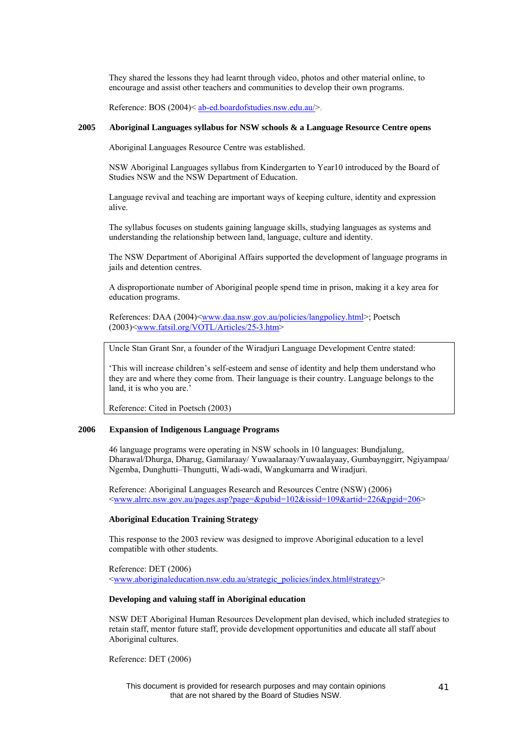They shared the lessons they had learnt through video, photos and other material online, to encourage and assist other teachers and communities to develop their own programs.

Reference: BOS (2004)< [ab-ed.boardofstudies.nsw.edu.au/>](http://ab-ed.boardofstudies.nsw.edu.au/).

#### **2005 Aboriginal Languages syllabus for NSW schools & a Language Resource Centre opens**

Aboriginal Languages Resource Centre was established.

NSW Aboriginal Languages syllabus from Kindergarten to Year10 introduced by the Board of Studies NSW and the NSW Department of Education.

Language revival and teaching are important ways of keeping culture, identity and expression alive.

The syllabus focuses on students gaining language skills, studying languages as systems and understanding the relationship between land, language, culture and identity.

The NSW Department of Aboriginal Affairs supported the development of language programs in jails and detention centres.

A disproportionate number of Aboriginal people spend time in prison, making it a key area for education programs.

References: DAA (2004)<<u>www.daa.nsw.gov.au/policies/langpolicy.html</u>>; Poetsch (2003)<[www.fatsil.org/VOTL/Articles/25-3.htm>](http://www.fatsil.org/VOTL/Articles/25-3.htm)

Uncle Stan Grant Snr, a founder of the Wiradjuri Language Development Centre stated:

'This will increase children's self-esteem and sense of identity and help them understand who they are and where they come from. Their language is their country. Language belongs to the land, it is who you are.'

Reference: Cited in Poetsch (2003)

# **2006 Expansion of Indigenous Language Programs**

46 language programs were operating in NSW schools in 10 languages: Bundjalung, Dharawal/Dhurga, Dharug, Gamilaraay/ Yuwaalaraay/Yuwaalayaay, Gumbaynggirr, Ngiyampaa/ Ngemba, Dunghutti–Thungutti, Wadi-wadi, Wangkumarra and Wiradjuri.

Reference: Aboriginal Languages Research and Resources Centre (NSW) (2006) [<www.alrrc.nsw.gov.au/pages.asp?page=&pubid=102&issid=109&artid=226&pgid=206>](http://www.alrrc.nsw.gov.au/pages.asp?page=&pubid=102&issid=109&artid=226&pgid=206)

# **Aboriginal Education Training Strategy**

This response to the 2003 review was designed to improve Aboriginal education to a level compatible with other students.

Reference: DET (2006) [<www.aboriginaleducation.nsw.edu.au/strategic\\_policies/index.html#strategy](http://www.aboriginaleducation.nsw.edu.au/strategic_policies/index.html#strategy)>

#### **Developing and valuing staff in Aboriginal education**

NSW DET Aboriginal Human Resources Development plan devised, which included strategies to retain staff, mentor future staff, provide development opportunities and educate all staff about Aboriginal cultures.

Reference: DET (2006)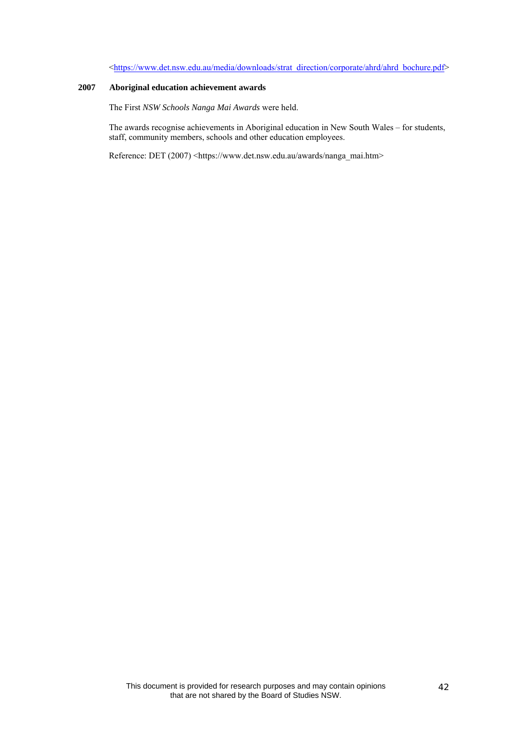# [<https://www.det.nsw.edu.au/media/downloads/strat\\_direction/corporate/ahrd/ahrd\\_bochure.pdf>](https://www.det.nsw.edu.au/media/downloads/strat_direction/corporate/ahrd/ahrd_bochure.pdf)

# **2007 Aboriginal education achievement awards**

The First *NSW Schools Nanga Mai Awards* were held.

The awards recognise achievements in Aboriginal education in New South Wales – for students, staff, community members, schools and other education employees.

Reference: DET (2007) <https://www.det.nsw.edu.au/awards/nanga\_mai.htm>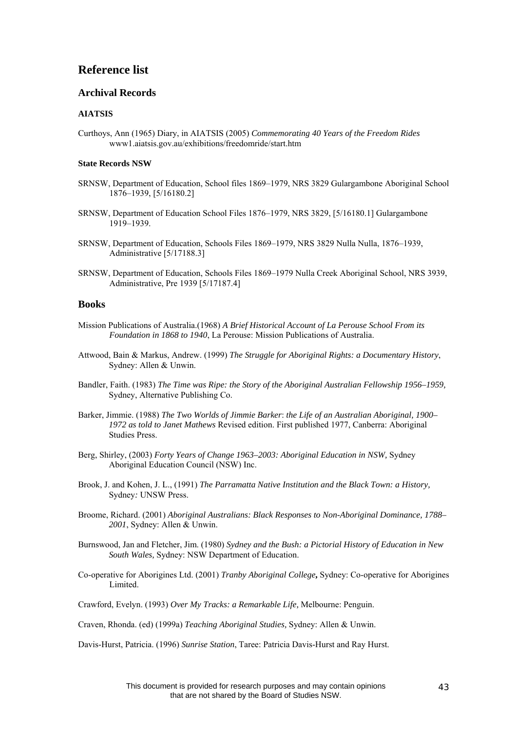# **Reference list**

# **Archival Records**

# **AIATSIS**

Curthoys, Ann (1965) Diary, in AIATSIS (2005) *Commemorating 40 Years of the Freedom Rides*  www1.aiatsis.gov.au/exhibitions/freedomride/start.htm

#### **State Records NSW**

- SRNSW, Department of Education, School files 1869–1979, NRS 3829 Gulargambone Aboriginal School 1876–1939, [5/16180.2]
- SRNSW, Department of Education School Files 1876–1979, NRS 3829, [5/16180.1] Gulargambone 1919–1939.
- SRNSW, Department of Education, Schools Files 1869–1979, NRS 3829 Nulla Nulla, 1876–1939, Administrative [5/17188.3]
- SRNSW, Department of Education, Schools Files 1869–1979 Nulla Creek Aboriginal School, NRS 3939, Administrative, Pre 1939 [5/17187.4]

# **Books**

- Mission Publications of Australia.(1968) *A Brief Historical Account of La Perouse School From its Foundation in 1868 to 1940*, La Perouse: Mission Publications of Australia.
- Attwood, Bain & Markus, Andrew. (1999) *The Struggle for Aboriginal Rights: a Documentary History*, Sydney: Allen & Unwin.
- Bandler, Faith. (1983) *The Time was Ripe: the Story of the Aboriginal Australian Fellowship 1956–1959,*  Sydney, Alternative Publishing Co.
- Barker, Jimmie. (1988) *The Two Worlds of Jimmie Barker*: *the Life of an Australian Aboriginal, 1900– 1972 as told to Janet Mathews* Revised edition. First published 1977, Canberra: Aboriginal Studies Press.
- Berg, Shirley, (2003) *Forty Years of Change 1963–2003: Aboriginal Education in NSW,* Sydney Aboriginal Education Council (NSW) Inc.
- Brook, J. and Kohen, J. L., (1991) *The Parramatta Native Institution and the Black Town: a History,*  Sydney*:* UNSW Press.
- Broome, Richard. (2001) *Aboriginal Australians: Black Responses to Non-Aboriginal Dominance, 1788– 2001*, Sydney: Allen & Unwin.
- Burnswood, Jan and Fletcher, Jim. (1980) *Sydney and the Bush: a Pictorial History of Education in New South Wales,* Sydney: NSW Department of Education.
- [Co-operative for Aborigines Ltd.](http://library.sl.nsw.gov.au/search/aCo-operative+for+Aborigines+Ltd./aco+operative+for+aborigines+ltd/-3,-1,0,B/browse) (2001) *Tranby Aboriginal College***,** Sydney: Co-operative for Aborigines Limited.
- Crawford, Evelyn. (1993) *Over My Tracks: a Remarkable Life,* Melbourne: Penguin.
- Craven, Rhonda. (ed) (1999a) *Teaching Aboriginal Studies,* Sydney: Allen & Unwin.

Davis-Hurst, Patricia. (1996) *Sunrise Station*, Taree: Patricia Davis-Hurst and Ray Hurst.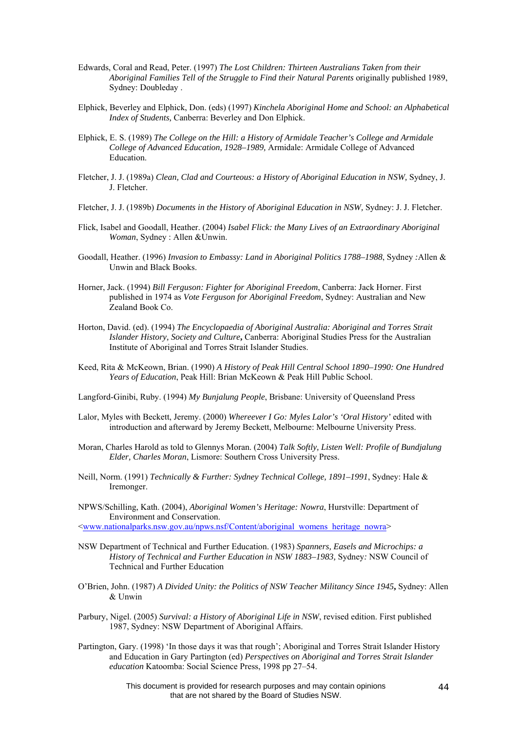- Edwards, Coral and Read, Peter. (1997) *The Lost Children: Thirteen Australians Taken from their Aboriginal Families Tell of the Struggle to Find their Natural Parents* originally published 1989, Sydney: Doubleday .
- Elphick, Beverley and Elphick, Don. (eds) (1997) *Kinchela Aboriginal Home and School: an Alphabetical Index of Students,* Canberra: Beverley and Don Elphick.
- Elphick, E. S. (1989) *The College on the Hill: a History of Armidale Teacher's College and Armidale College of Advanced Education, 1928–1989,* Armidale: Armidale College of Advanced **Education**
- Fletcher, J. J. (1989a) *Clean, Clad and Courteous: a History of Aboriginal Education in NSW,* Sydney, J. J. Fletcher.
- Fletcher, J. J. (1989b) *Documents in the History of Aboriginal Education in NSW,* Sydney: J. J. Fletcher.
- Flick, Isabel and Goodall, Heather. (2004) *Isabel Flick: the Many Lives of an Extraordinary Aboriginal Woman*, Sydney : Allen &Unwin.
- Goodall, Heather. (1996) *Invasion to Embassy: Land in Aboriginal Politics 1788–1988*, Sydney *:*Allen & Unwin and Black Books.
- [Horner, Jack](http://unicorn.aiatsis.gov.au/uhtbin/cgisirsi/DTeSzaxloL/SIRSI/322250009/18/X100/XAUTHOR/Horner,+Jack). (1994) *Bill Ferguson: Fighter for Aboriginal Freedom*, Canberra: Jack Horner. First published in 1974 as *Vote Ferguson for Aboriginal Freedom*, Sydney: Australian and New Zealand Book Co.
- Horton, David. (ed). (1994) *The Encyclopaedia of Aboriginal Australia: Aboriginal and Torres Strait Islander History, Society and Culture***,** Canberra: Aboriginal Studies Press for the Australian Institute of Aboriginal and Torres Strait Islander Studies.
- [Keed, Rita](http://search.informit.com.au.ezproxy.lib.uts.edu.au/search;search=pa=%2522Keed,%20Rita%2522) & McKeown, Brian. (1990) *A History of Peak Hill Central School 1890–1990: One Hundred Years of Education*, Peak Hill: Brian McKeown & Peak Hill Public School.
- Langford-Ginibi, Ruby. (1994) *My Bunjalung People*, Brisbane: University of Queensland Press
- Lalor, Myles with Beckett, Jeremy. (2000) *Whereever I Go: Myles Lalor's 'Oral History'* edited with introduction and afterward by Jeremy Beckett, Melbourne: Melbourne University Press.
- Moran, Charles Harold as told to Glennys Moran. (2004) *Talk Softly, Listen Well: Profile of Bundjalung Elder, Charles Moran*, Lismore: Southern Cross University Press.
- Neill, Norm. (1991) *Technically & Further: Sydney Technical College, 1891–1991*, Sydney: Hale & Iremonger.
- NPWS/Schilling, Kath. (2004), *Aboriginal Women's Heritage: Nowra*, Hurstville: Department of Environment and Conservation.

<[www.nationalparks.nsw.gov.au/npws.nsf/Content/aboriginal\\_womens\\_heritage\\_nowra](http://www.nationalparks.nsw.gov.au/npws.nsf/Content/aboriginal_womens_heritage_nowra)>

- NSW Department of Technical and Further Education. (1983) *Spanners, Easels and Microchips: a History of Technical and Further Education in NSW 1883–1983,* Sydney*:* NSW Council of Technical and Further Education
- O'Brien, John. (1987) *A Divided Unity: the Politics of NSW Teacher Militancy Since 1945***,** Sydney: Allen & Unwin
- Parbury, Nigel. (2005) *Survival: a History of Aboriginal Life in NSW*, revised edition. First published 1987, Sydney: NSW Department of Aboriginal Affairs.
- Partington, Gary. (1998) 'In those days it was that rough'; Aboriginal and Torres Strait Islander History and Education in Gary Partington (ed) *[Perspectives on Aboriginal and Torres Strait Islander](http://linus.lib.uts.edu.au/search?/apartington+g/apartington+g/1%2C3%2C11%2CB/frameset&FF=apartington+gary&3%2C%2C5)  [education](http://linus.lib.uts.edu.au/search?/apartington+g/apartington+g/1%2C3%2C11%2CB/frameset&FF=apartington+gary&3%2C%2C5)* Katoomba: Social Science Press, 1998 pp 27–54.

This document is provided for research purposes and may contain opinions that are not shared by the Board of Studies NSW.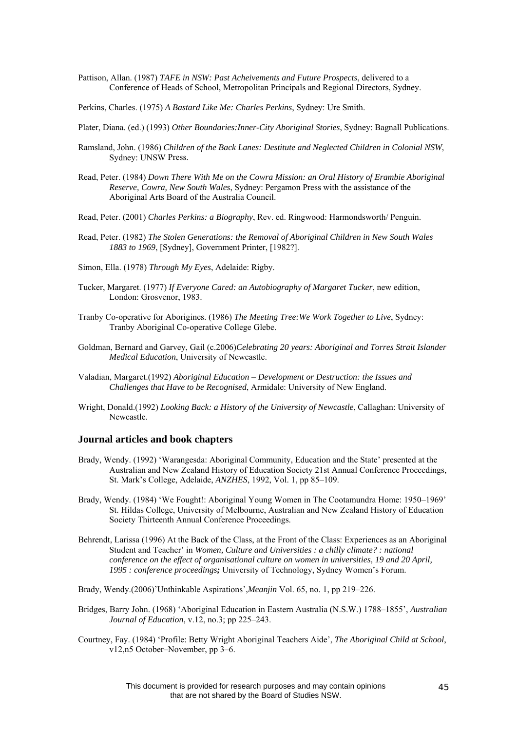Pattison, Allan. (1987) *TAFE in NSW: Past Acheivements and Future Prospects*, delivered to a Conference of Heads of School, Metropolitan Principals and Regional Directors, Sydney.

Perkins, Charles. (1975) *A Bastard Like Me: Charles Perkins*, Sydney: Ure Smith.

- Plater, Diana. (ed.) (1993) *Other Boundaries:Inner-City Aboriginal Stories*, Sydney: Bagnall Publications.
- Ramsland, John. (1986) *Children of the Back Lanes: Destitute and Neglected Children in Colonial NSW*, Sydney: UNSW Press.
- Read, Peter. (1984) *Down There With Me on the Cowra Mission: an Oral History of Erambie Aboriginal Reserve, Cowra, New South Wales*, Sydney: Pergamon Press with the assistance of the Aboriginal Arts Board of the Australia Council.
- Read, Peter. (2001) *Charles Perkins: a Biography*, Rev. ed. Ringwood: Harmondsworth/ Penguin.
- Read, Peter. (1982) *The Stolen Generations: the Removal of Aboriginal Children in New South Wales 1883 to 1969*, [Sydney], Government Printer, [1982?].
- Simon, Ella. (1978) *Through My Eyes*, Adelaide: Rigby.
- Tucker, Margaret. (1977) *If Everyone Cared: an Autobiography of Margaret Tucker*, new edition, London: Grosvenor, 1983.
- Tranby Co-operative for Aborigines. (1986) *The Meeting Tree:We Work Together to Live*, Sydney: Tranby Aboriginal Co-operative College Glebe.
- Goldman, Bernard and Garvey, Gail (c.2006)*Celebrating 20 years: Aboriginal and Torres Strait Islander Medical Education*, University of Newcastle.
- Valadian, Margaret.(1992) *Aboriginal Education Development or Destruction: the Issues and Challenges that Have to be Recognised*, Armidale: University of New England.
- Wright, Donald.(1992) *Looking Back: a History of the University of Newcastle*, Callaghan: University of Newcastle.

# **Journal articles and book chapters**

- Brady, Wendy. (1992) 'Warangesda: Aboriginal Community, Education and the State' presented at the Australian and New Zealand History of Education Society 21st Annual Conference Proceedings, St. Mark's College, Adelaide, *ANZHES*, 1992, Vol. 1, pp 85–109.
- Brady, Wendy. (1984) 'We Fought!: Aboriginal Young Women in The Cootamundra Home: 1950–1969' St. Hildas College, University of Melbourne, Australian and New Zealand History of Education Society Thirteenth Annual Conference Proceedings.
- Behrendt, Larissa (1996) At the Back of the Class, at the Front of the Class: Experiences as an Aboriginal Student and Teacher' in *[Women, Culture and Universities : a chilly climate? : national](http://linus.lib.uts.edu.au/search?/Xwomen+and+universities&searchscope=3&SORT=D/Xwomen+and+universities&searchscope=3&SORT=D&SUBKEY=women%20and%20universities/1%2C46%2C46%2CB/frameset&FF=Xwomen+and+universities&searchscope=3&SORT=D&2%2C2%2C)  [conference on the effect of organisational culture on women in universities, 19 and 20 April,](http://linus.lib.uts.edu.au/search?/Xwomen+and+universities&searchscope=3&SORT=D/Xwomen+and+universities&searchscope=3&SORT=D&SUBKEY=women%20and%20universities/1%2C46%2C46%2CB/frameset&FF=Xwomen+and+universities&searchscope=3&SORT=D&2%2C2%2C)  [1995 : conference proceedings](http://linus.lib.uts.edu.au/search?/Xwomen+and+universities&searchscope=3&SORT=D/Xwomen+and+universities&searchscope=3&SORT=D&SUBKEY=women%20and%20universities/1%2C46%2C46%2CB/frameset&FF=Xwomen+and+universities&searchscope=3&SORT=D&2%2C2%2C);* University of Technology, Sydney Women's Forum.
- [Brady, Wendy.](http://search.informit.com.au.ezproxy.lib.uts.edu.au/search;search=pa=%2522Brady,%20Wendy%2522)(2006)'Unthinkable Aspirations',*Meanjin* Vol. 65, no. 1, pp 219–226.
- [Bridges, Barry John.](http://unicorn.aiatsis.gov.au/uhtbin/cgisirsi/A5pDOqpy7d/SIRSI/322250009/18/X100/XAUTHOR/Bridges,+Barry+John) (1968) 'Aboriginal Education in Eastern Australia (N.S.W.) 1788–1855', *Australian Journal of Education*, v.12, no.3; pp 225–243.
- Courtney, Fay. (1984) 'Profile: Betty Wright Aboriginal Teachers Aide', *The Aboriginal Child at School*, v12,n5 October–November, pp 3–6.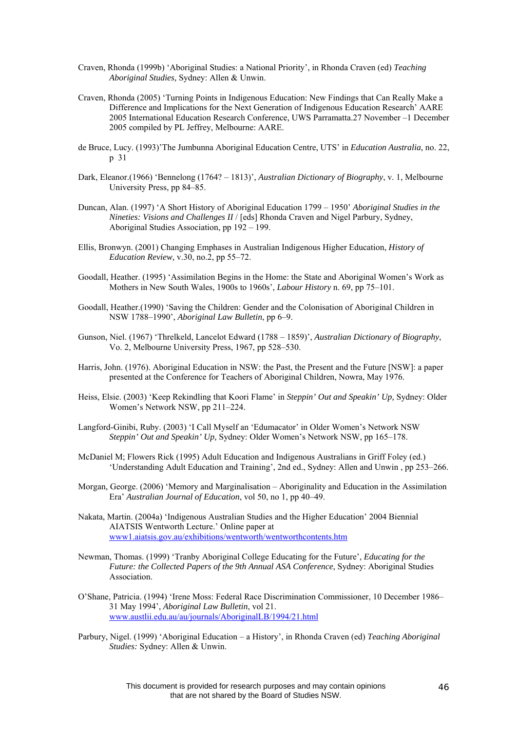- Craven, Rhonda (1999b) 'Aboriginal Studies: a National Priority', in Rhonda Craven (ed) *Teaching Aboriginal Studies,* Sydney: Allen & Unwin.
- Craven, Rhonda (2005) 'Turning Points in Indigenous Education: New Findings that Can Really Make a Difference and Implications for the Next Generation of Indigenous Education Research' AARE 2005 International Education Research Conference, UWS Parramatta.27 November –1 December 2005 compiled by PL Jeffrey, Melbourne: AARE.
- de Bruce, Lucy. (1993)'The Jumbunna Aboriginal Education Centre, UTS' in *Education Australia*, no. 22, p 31
- Dark, Eleanor.(1966) 'Bennelong (1764? 1813)', *Australian Dictionary of Biography*, v. 1, [Melbourne](http://www.mup.unimelb.edu.au/catalogue/0-522-84121-X.html)  [University Press](http://www.mup.unimelb.edu.au/catalogue/0-522-84121-X.html), pp 84–85.
- Duncan, Alan. (1997) 'A Short History of Aboriginal Education 1799 1950' *Aboriginal Studies in the Nineties: Visions and Challenges II* / [eds] Rhonda Craven and Nigel Parbury, Sydney, Aboriginal Studies Association, pp 192 – 199.
- Ellis, Bronwyn. (2001) Changing Emphases in Australian Indigenous Higher Education, *History of Education Review,* v.30, no.2, pp 55–72.
- Goodall, Heather. (1995) 'Assimilation Begins in the Home: the State and Aboriginal Women's Work as Mothers in New South Wales, 1900s to 1960s', *Labour History* n. 69, pp 75–101.
- Goodall, Heather.(1990) 'Saving the Children: Gender and the Colonisation of Aboriginal Children in NSW 1788–1990', *Aboriginal Law Bulletin*, pp 6–9.
- Gunson, Niel. (1967) 'Threlkeld, Lancelot Edward (1788 1859)', *Australian Dictionary of Biography*, Vo. 2, [Melbourne University Press,](http://www.mup.unimelb.edu.au/catalogue/0-522-84194-5.html) 1967, pp 528–530.
- Harris, John. (1976). Aboriginal Education in NSW: the Past, the Present and the Future [NSW]: a paper presented at the Conference for Teachers of Aboriginal Children, Nowra, May 1976.
- Heiss, Elsie. (2003) 'Keep Rekindling that Koori Flame' in *Steppin' Out and Speakin' Up,* Sydney: Older Women's Network NSW, pp 211–224.
- Langford-Ginibi, Ruby. (2003) 'I Call Myself an 'Edumacator' in Older Women's Network NSW *Steppin' Out and Speakin' Up,* Sydney: Older Women's Network NSW, pp 165–178.
- [McDaniel M](http://search.informit.com.au.ezproxy.lib.uts.edu.au/search;search=pa=%22McDaniel%20M%22); [Flowers R](http://search.informit.com.au.ezproxy.lib.uts.edu.au/search;search=pa=%22Flowers%20R%22)ick (1995) Adult Education and Indigenous Australians in Griff Foley (ed.) 'Understanding Adult Education and Training', 2nd ed., Sydney: Allen and Unwin , pp 253–266.
- Morgan, George. (2006) 'Memory and Marginalisation Aboriginality and Education in the Assimilation Era' *Australian Journal of Education*, vol 50, no 1, pp 40–49.
- Nakata, Martin. (2004a) 'Indigenous Australian Studies and the Higher Education' 2004 Biennial AIATSIS Wentworth Lecture.' Online paper at [www1.aiatsis.gov.au/exhibitions/wentworth/wentworthcontents.htm](http://www.aiatsis.gov.au/lbry/dig_prgm/wentworth/a352185_a.pdf)
- Newman, Thomas. (1999) 'Tranby Aboriginal College Educating for the Future', *Educating for the Future: the Collected Papers of the 9th Annual ASA Conference*, Sydney: Aboriginal Studies **Association**
- O'Shane, Patricia. (1994) 'Irene Moss: Federal Race Discrimination Commissioner, 10 December 1986– 31 May 1994', *Aboriginal Law Bulletin*, vol 21. [www.austlii.edu.au/au/journals/AboriginalLB/1994/21.html](http://www.austlii.edu.au/au/journals/AboriginalLB/1994/21.html)
- Parbury, Nigel. (1999) 'Aboriginal Education a History', in Rhonda Craven (ed) *Teaching Aboriginal Studies:* Sydney: Allen & Unwin.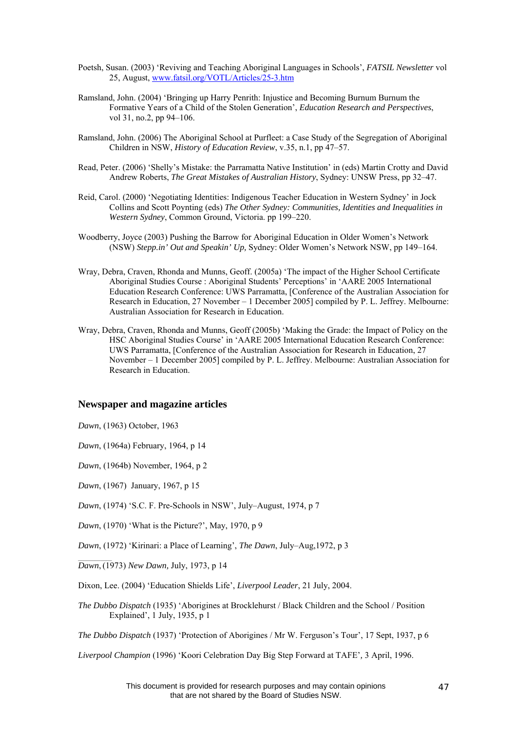- Poetsh, Susan. (2003) 'Reviving and Teaching Aboriginal Languages in Schools', *FATSIL Newsletter* vol 25, August, [www.fatsil.org/VOTL/Articles/25-3.htm](http://www.fatsil.org/VOTL/Articles/25-3.htm)
- Ramsland, John. (2004) 'Bringing up Harry Penrith: Injustice and Becoming Burnum Burnum the Formative Years of a Child of the Stolen Generation', *Education Research and Perspectives*, vol 31, no.2, pp 94–106.
- Ramsland, John. (2006) The Aboriginal School at Purfleet: a Case Study of the Segregation of Aboriginal Children in NSW, *History of Education Review*, v.35, n.1, pp 47–57.
- Read, Peter. (2006) 'Shelly's Mistake: the Parramatta Native Institution' in (eds) Martin Crotty and David Andrew Roberts, *The Great Mistakes of Australian History*, Sydney: UNSW Press, pp 32–47.
- Reid, Carol. (2000) 'Negotiating Identities: Indigenous Teacher Education in Western Sydney' in Jock Collins and Scott Poynting (eds) *The Other Sydney: Communities, Identities and Inequalities in Western Sydney*, Common Ground, Victoria. pp 199–220.
- Woodberry, Joyce (2003) Pushing the Barrow for Aboriginal Education in Older Women's Network (NSW) *Stepp.in' Out and Speakin' Up,* Sydney: Older Women's Network NSW, pp 149–164.
- Wray, Debra, Craven, Rhonda and Munns, Geoff. (2005a) 'The impact of the Higher School Certificate Aboriginal Studies Course : Aboriginal Students' Perceptions' in 'AARE 2005 International Education Research Conference: UWS Parramatta, [Conference of the Australian Association for Research in Education, 27 November – 1 December 2005] compiled by P. L. Jeffrey. Melbourne: Australian Association for Research in Education.
- Wray, Debra, Craven, Rhonda and Munns, Geoff (2005b) 'Making the Grade: the Impact of Policy on the HSC Aboriginal Studies Course' in 'AARE 2005 International Education Research Conference: UWS Parramatta, [Conference of the Australian Association for Research in Education, 27 November – 1 December 2005] compiled by P. L. Jeffrey. Melbourne: Australian Association for Research in Education.

# **Newspaper and magazine articles**

*Dawn*, (1963) October, 1963

*Dawn*, (1964a) February, 1964, p 14

*Dawn*, (1964b) November, 1964, p 2

*Dawn*, (1967) January, 1967, p 15

 $\mathcal{L}=\mathcal{L}^{\mathcal{L}}$ 

- *Dawn*, (1974) 'S.C. F. Pre-Schools in NSW', July–August, 1974, p 7
- *Dawn*, (1970) 'What is the Picture?', May, 1970, p 9

*Dawn*, (1972) 'Kirinari: a Place of Learning', *The Dawn*, July–Aug,1972, p 3

*Dawn*, (1973) *New Dawn,* July, 1973, p 14

- Dixon, Lee. (2004) 'Education Shields Life', *Liverpool Leader*, 21 July, 2004.
- *The Dubbo Dispatch* (1935) 'Aborigines at Brocklehurst / Black Children and the School / Position Explained', 1 July, 1935, p 1

*The Dubbo Dispatch* (1937) 'Protection of Aborigines / Mr W. Ferguson's Tour', 17 Sept, 1937, p 6

*Liverpool Champion* (1996) 'Koori Celebration Day Big Step Forward at TAFE'*,* 3 April, 1996.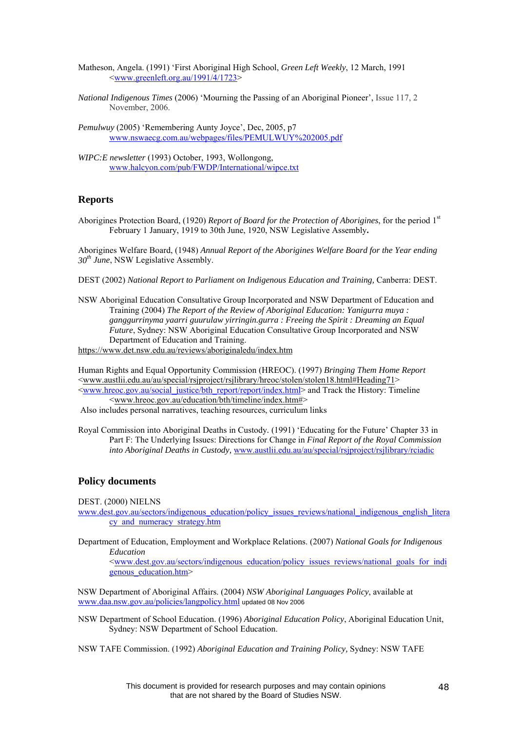Matheson, Angela. (1991) 'First Aboriginal High School, *Green Left Weekly*, 12 March, 1991  $\leq$ [www.greenleft.org.au/1991/4/1723](http://www.greenleft.org.au/1991/4/1723)>

*National Indigenous Times* (2006) 'Mourning the Passing of an Aboriginal Pioneer', Issue 117, 2 November, 2006.

*Pemulwuy* (2005) 'Remembering Aunty Joyce', Dec, 2005, p7 [www.nswaecg.com.au/webpages/files/PEMULWUY%202005.pdf](http://www.nswaecg.com.au/webpages/files/PEMULWUY%202005.pdf)

*WIPC:E newsletter* (1993) October, 1993, Wollongong, [www.halcyon.com/pub/FWDP/International/wipce.txt](http://www.halcyon.com/pub/FWDP/International/wipce.txt)

# **Reports**

Aborigines Protection Board, (1920) *Report of Board for the Protection of Aborigines*, for the period 1st February 1 January, 1919 to 30th June, 1920, NSW Legislative Assembly**.** 

Aborigines Welfare Board, (1948) *Annual Report of the Aborigines Welfare Board for the Year ending 30th June*, NSW Legislative Assembly.

DEST (2002) *National Report to Parliament on Indigenous Education and Training,* Canberra: DEST.

NSW Aboriginal Education Consultative Group Incorporated and NSW Department of Education and Training (2004) *The Report of the Review of Aboriginal Education: Yanigurra muya : ganggurrinyma yaarri guurulaw yirringin.gurra : Freeing the Spirit : Dreaming an Equal Future*, Sydney: NSW Aboriginal Education Consultative Group Incorporated and NSW Department of Education and Training.

<https://www.det.nsw.edu.au/reviews/aboriginaledu/index.htm>

Human Rights and Equal Opportunity Commission (HREOC). (1997) *Bringing Them Home Report* <[www.austlii.edu.au/au/special/rsjproject/rsjlibrary/hreoc/stolen/stolen18.html#Heading71>](http://www.austlii.edu.au/au/special/rsjproject/rsjlibrary/hreoc/stolen/stolen18.html#Heading71) <[www.hreoc.gov.au/social\\_justice/bth\\_report/report/index.html](http://www.hreoc.gov.au/social_justice/bth_report/report/index.html)> and Track the History: Timeline <[www.hreoc.gov.au/education/bth/timeline/index.htm#>](http://www.hreoc.gov.au/education/bth/timeline/index.htm)

Also includes personal narratives, teaching resources, curriculum links

Royal Commission into Aboriginal Deaths in Custody*.* (1991) 'Educating for the Future' Chapter 33 in Part F: The Underlying Issues: Directions for Change in *Final Report of the Royal Commission into Aboriginal Deaths in Custody,* [www.austlii.edu.au/au/special/rsjproject/rsjlibrary/rciadic](http://www.austlii.edu.au/au/special/rsjproject/rsjlibrary/rciadic)

# **Policy documents**

DEST. (2000) NIELNS

[www.dest.gov.au/sectors/indigenous\\_education/policy\\_issues\\_reviews/national\\_indigenous\\_english\\_litera](http://www.dest.gov.au/sectors/indigenous_education/policy_issues_reviews/national_indigenous_english_literacy_and_numeracy_strategy.htm) [cy\\_and\\_numeracy\\_strategy.htm](http://www.dest.gov.au/sectors/indigenous_education/policy_issues_reviews/national_indigenous_english_literacy_and_numeracy_strategy.htm)

Department of Education, Employment and Workplace Relations. (2007) *National Goals for Indigenous Education*

<[www.dest.gov.au/sectors/indigenous\\_education/policy\\_issues\\_reviews/national\\_goals\\_for\\_indi](http://www.dest.gov.au/sectors/indigenous_education/policy_issues_reviews/national_goals_for_indigenous_education.htm) [genous\\_education.htm>](http://www.dest.gov.au/sectors/indigenous_education/policy_issues_reviews/national_goals_for_indigenous_education.htm)

NSW Department of Aboriginal Affairs. (2004) *NSW Aboriginal Languages Policy*, available at [www.daa.nsw.gov.au/policies/langpolicy.html](http://www.daa.nsw.gov.au/policies/langpolicy.html) updated 08 Nov 2006

[NSW Department of School Education.](http://opac.library.usyd.edu.au/search/aNew+South+Wales.+Dept.+of+School+Education./anew+south+wales+dept+of+school+education/-3,-1,0,B/browse) (1996) *Aboriginal Education Policy*, Aboriginal Education Unit, Sydney: NSW Department of School Education.

NSW TAFE Commission. (1992) *Aboriginal Education and Training Policy,* Sydney: NSW TAFE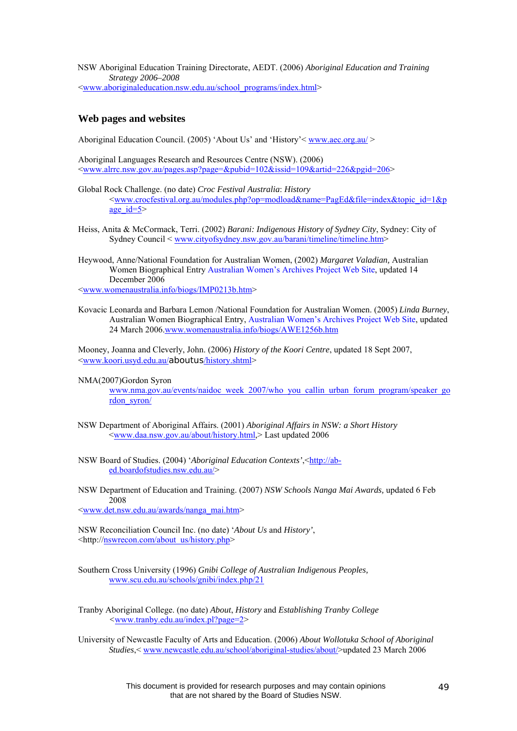NSW Aboriginal Education Training Directorate, AEDT. (2006) *Aboriginal Education and Training Strategy 2006–2008*  <[www.aboriginaleducation.nsw.edu.au/school\\_programs/index.html](http://www.aboriginaleducation.nsw.edu.au/school_programs/index.html)>

# **Web pages and websites**

Aboriginal Education Council. (2005) 'About Us' and 'History' <u>www.aec.org.au/</u> >

Aboriginal Languages Research and Resources Centre (NSW). (2006) <[www.alrrc.nsw.gov.au/pages.asp?page=&pubid=102&issid=109&artid=226&pgid=206](http://www.alrrc.nsw.gov.au/pages.asp?page=&pubid=102&issid=109&artid=226&pgid=206)>

- Global Rock Challenge. (no date) *Croc Festival Australia*: *History*  <[www.crocfestival.org.au/modules.php?op=modload&name=PagEd&file=index&topic\\_id=1&p](http://www.crocfestival.org.au/modules.php?op=modload&name=PagEd&file=index&topic_id=1&page_id=5) age  $id=5$
- Heiss, Anita & McCormack, Terri. (2002) *Barani: Indigenous History of Sydney City*, Sydney: City of Sydney Council < [www.cityofsydney.nsw.gov.au/barani/timeline/timeline.htm](http://www.cityofsydney.nsw.gov.au/barani/timeline/timeline.htm)>
- Heywood, Anne/National Foundation for Australian Women, (2002) *Margaret Valadian,* Australian Women Biographical Entry [Australian Women's Archives Project Web Site,](http://www.womenaustralia.info/) updated 14 December 2006

<[www.womenaustralia.info/biogs/IMP0213b.htm>](http://www.womenaustralia.info/biogs/IMP0213b.htm)

Kovacic Leonarda and Barbara Lemon /National Foundation for Australian Women. (2005) *Linda Burney*, Australian Women Biographical Entry, [Australian Women's Archives Project Web Site,](http://www.womenaustralia.info/) updated 24 March 2006.[www.womenaustralia.info/biogs/AWE1256b.htm](http://www.womenaustralia.info/biogs/AWE1256b.htm)

Mooney, Joanna and Cleverly, John. (2006) *History of the Koori Centre*, updated 18 Sept 2007, <[www.koori.usyd.edu.au/](http://www.koori.usyd.edu.au/aboutus/history.shtml)aboutus/history.shtml>

NMA(2007)Gordon Syron

[www.nma.gov.au/events/naidoc\\_week\\_2007/who\\_you\\_callin\\_urban\\_forum\\_program/speaker\\_go](http://www.nma.gov.au/events/naidoc_week_2007/who_you_callin_urban_forum_program/speaker_gordon_syron/) [rdon\\_syron/](http://www.nma.gov.au/events/naidoc_week_2007/who_you_callin_urban_forum_program/speaker_gordon_syron/)

- NSW Department of Aboriginal Affairs. (2001) *Aboriginal Affairs in NSW: a Short History* [<www.daa.nsw.gov.au/about/history.html](http://www.daa.nsw.gov.au/about/history.html),> Last updated 2006
- NSW Board of Studies. (2004) '*Aboriginal Education Contexts'*, <[http://ab](http://ab-ed.boardofstudies.nsw.edu.au/)[ed.boardofstudies.nsw.edu.au/](http://ab-ed.boardofstudies.nsw.edu.au/)>
- NSW Department of Education and Training. (2007) *NSW Schools Nanga Mai Awards,* updated 6 Feb 2008 <[www.det.nsw.edu.au/awards/nanga\\_mai.htm>](http://www.det.nsw.edu.au/awards/nanga_mai.htm)

NSW Reconciliation Council Inc. (no date) '*About Us* and *History'*, <http://[nswrecon.com/about\\_us/history.php](http://nswrecon.com/about_us/history.php)>

Southern Cross University (1996) *Gnibi College of Australian Indigenous Peoples,*  [www.scu.edu.au/schools/gnibi/index.php/21](http://www.scu.edu.au/schools/gnibi/index.php/21)

Tranby Aboriginal College. (no date) *About*, *History* and *Establishing Tranby College <*[www.tranby.edu.au/index.pl?page=2>](http://www.tranby.edu.au/index.pl?page=2)

University of Newcastle Faculty of Arts and Education. (2006) *About Wollotuka School of Aboriginal Studies*,< [www.newcastle.edu.au/school/aboriginal-studies/about/](http://www.newcastle.edu.au/school/aboriginal-studies/about/)>updated 23 March 2006